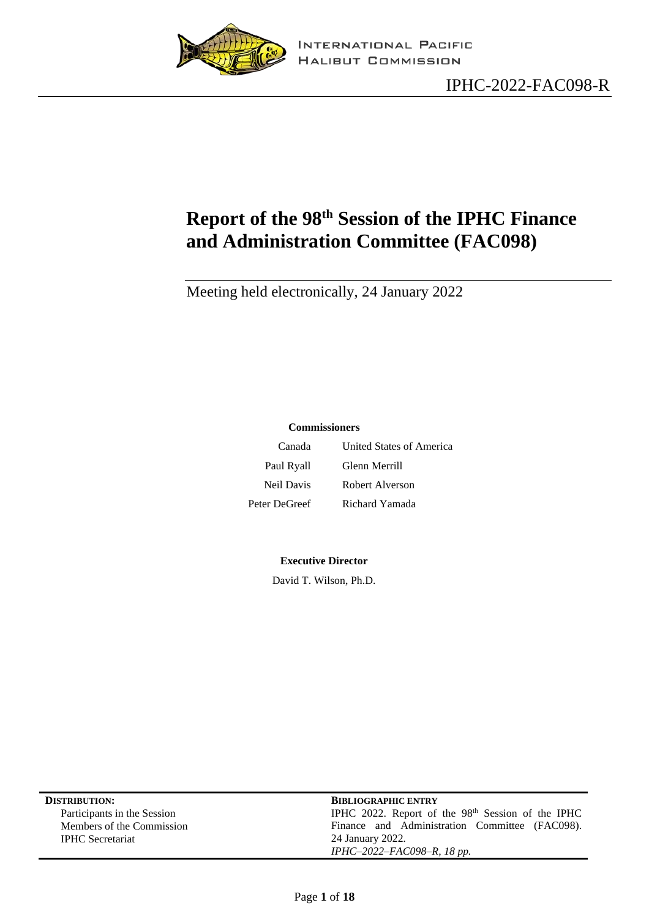

# <span id="page-0-0"></span>**Report of the 98 th Session of the IPHC Finance and Administration Committee (FAC098)**

Meeting held electronically, 24 January 2022

#### **Commissioners**

| Canada            | United States of America |
|-------------------|--------------------------|
| Paul Ryall        | Glenn Merrill            |
| <b>Neil Davis</b> | Robert Alverson          |
| Peter DeGreef     | Richard Yamada           |

#### **Executive Director**

David T. Wilson, Ph.D.

| <b>DISTRIBUTION:</b>        | <b>BIBLIOGRAPHIC ENTRY</b>                                    |  |
|-----------------------------|---------------------------------------------------------------|--|
| Participants in the Session | IPHC 2022. Report of the 98 <sup>th</sup> Session of the IPHC |  |
| Members of the Commission   | Finance and Administration Committee (FAC098).                |  |
| <b>IPHC</b> Secretariat     | 24 January 2022.                                              |  |
|                             | IPHC-2022-FAC098-R, 18 pp.                                    |  |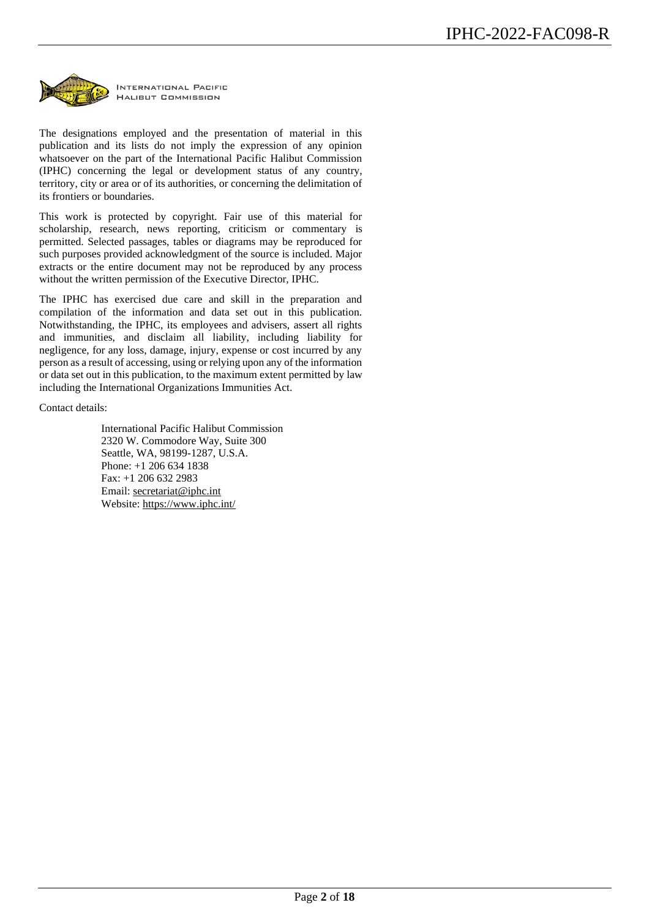

The designations employed and the presentation of material in this publication and its lists do not imply the expression of any opinion whatsoever on the part of the International Pacific Halibut Commission (IPHC) concerning the legal or development status of any country, territory, city or area or of its authorities, or concerning the delimitation of its frontiers or boundaries.

This work is protected by copyright. Fair use of this material for scholarship, research, news reporting, criticism or commentary is permitted. Selected passages, tables or diagrams may be reproduced for such purposes provided acknowledgment of the source is included. Major extracts or the entire document may not be reproduced by any process without the written permission of the Executive Director, IPHC.

The IPHC has exercised due care and skill in the preparation and compilation of the information and data set out in this publication. Notwithstanding, the IPHC, its employees and advisers, assert all rights and immunities, and disclaim all liability, including liability for negligence, for any loss, damage, injury, expense or cost incurred by any person as a result of accessing, using or relying upon any of the information or data set out in this publication, to the maximum extent permitted by law including the International Organizations Immunities Act.

Contact details:

International Pacific Halibut Commission 2320 W. Commodore Way, Suite 300 Seattle, WA, 98199-1287, U.S.A. Phone: +1 206 634 1838 Fax: +1 206 632 2983 Email: [secretariat@iphc.int](mailto:secretariat@iphc.int) Website:<https://www.iphc.int/>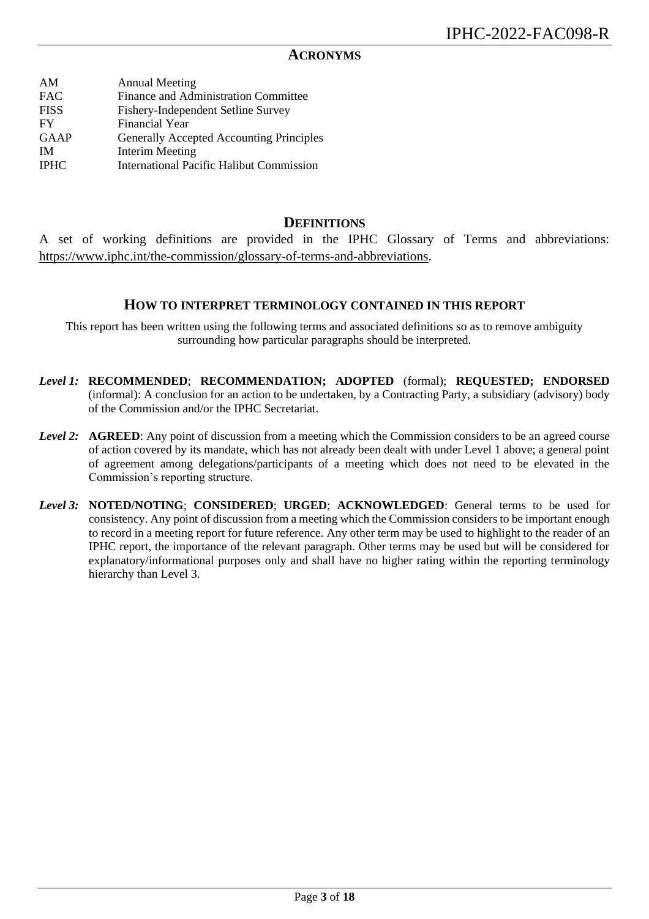#### **ACRONYMS**

| AM          | <b>Annual Meeting</b>                           |
|-------------|-------------------------------------------------|
|             |                                                 |
| <b>FAC</b>  | Finance and Administration Committee            |
| <b>FISS</b> | Fishery-Independent Setline Survey              |
| FY          | Financial Year                                  |
| <b>GAAP</b> | Generally Accepted Accounting Principles        |
| <b>IM</b>   | <b>Interim Meeting</b>                          |
| <b>IPHC</b> | <b>International Pacific Halibut Commission</b> |
|             |                                                 |

### **DEFINITIONS**

A set of working definitions are provided in the IPHC Glossary of Terms and abbreviations: [https://www.iphc.int/the-commission/glossary-of-terms-and-abbreviations.](https://www.iphc.int/the-commission/glossary-of-terms-and-abbreviations)

#### **HOW TO INTERPRET TERMINOLOGY CONTAINED IN THIS REPORT**

This report has been written using the following terms and associated definitions so as to remove ambiguity surrounding how particular paragraphs should be interpreted.

- *Level 1:* **RECOMMENDED**; **RECOMMENDATION; ADOPTED** (formal); **REQUESTED; ENDORSED** (informal): A conclusion for an action to be undertaken, by a Contracting Party, a subsidiary (advisory) body of the Commission and/or the IPHC Secretariat.
- *Level 2:* **AGREED**: Any point of discussion from a meeting which the Commission considers to be an agreed course of action covered by its mandate, which has not already been dealt with under Level 1 above; a general point of agreement among delegations/participants of a meeting which does not need to be elevated in the Commission's reporting structure.
- *Level 3:* **NOTED/NOTING**; **CONSIDERED**; **URGED**; **ACKNOWLEDGED**: General terms to be used for consistency. Any point of discussion from a meeting which the Commission considers to be important enough to record in a meeting report for future reference. Any other term may be used to highlight to the reader of an IPHC report, the importance of the relevant paragraph. Other terms may be used but will be considered for explanatory/informational purposes only and shall have no higher rating within the reporting terminology hierarchy than Level 3.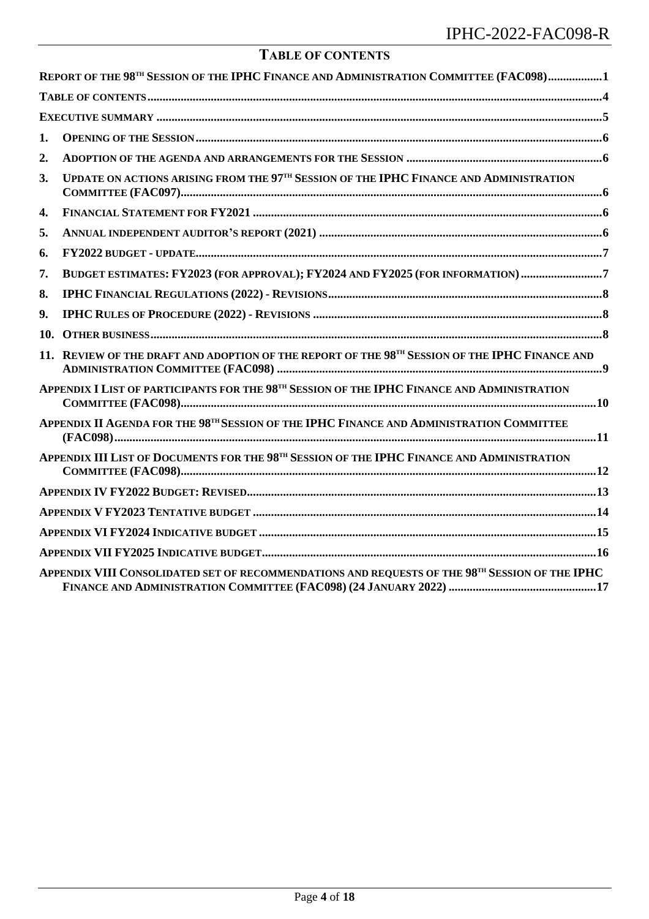| <b>TABLE OF CONTENTS</b> |  |
|--------------------------|--|
|--------------------------|--|

<span id="page-3-0"></span>

|     | REPORT OF THE 98TH SESSION OF THE IPHC FINANCE AND ADMINISTRATION COMMITTEE (FAC098)1                              |  |
|-----|--------------------------------------------------------------------------------------------------------------------|--|
|     |                                                                                                                    |  |
|     |                                                                                                                    |  |
| 1.  |                                                                                                                    |  |
| 2.  |                                                                                                                    |  |
| 3.  | UPDATE ON ACTIONS ARISING FROM THE 97TH SESSION OF THE IPHC FINANCE AND ADMINISTRATION<br>$COMMITTEE (FAC097)$     |  |
| 4.  |                                                                                                                    |  |
| 5.  |                                                                                                                    |  |
| 6.  |                                                                                                                    |  |
| 7.  | BUDGET ESTIMATES: FY2023 (FOR APPROVAL); FY2024 AND FY2025 (FOR INFORMATION)7                                      |  |
| 8.  |                                                                                                                    |  |
| 9.  |                                                                                                                    |  |
| 10. |                                                                                                                    |  |
|     | 11. REVIEW OF THE DRAFT AND ADOPTION OF THE REPORT OF THE 98TH SESSION OF THE IPHC FINANCE AND                     |  |
|     | APPENDIX I LIST OF PARTICIPANTS FOR THE 98TH SESSION OF THE IPHC FINANCE AND ADMINISTRATION                        |  |
|     | APPENDIX II AGENDA FOR THE 98TH SESSION OF THE IPHC FINANCE AND ADMINISTRATION COMMITTEE                           |  |
|     | APPENDIX III LIST OF DOCUMENTS FOR THE 98TH SESSION OF THE IPHC FINANCE AND ADMINISTRATION<br>$COMMITTEE (FAC098)$ |  |
|     |                                                                                                                    |  |
|     |                                                                                                                    |  |
|     |                                                                                                                    |  |
|     |                                                                                                                    |  |
|     | APPENDIX VIII CONSOLIDATED SET OF RECOMMENDATIONS AND REQUESTS OF THE 98TH SESSION OF THE IPHC                     |  |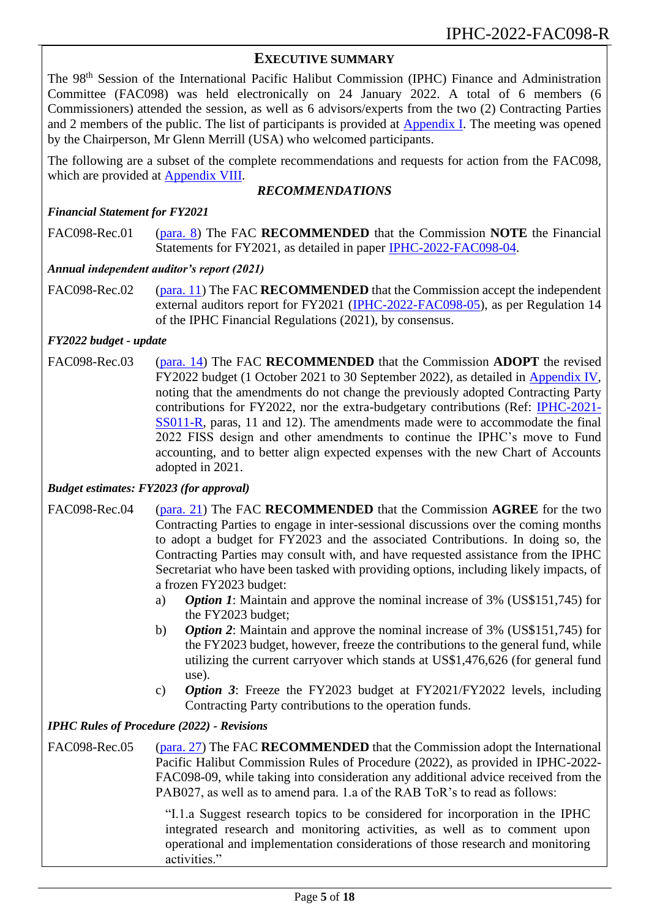### <span id="page-4-0"></span>**EXECUTIVE SUMMARY**

The 98<sup>th</sup> Session of the International Pacific Halibut Commission (IPHC) Finance and Administration Committee (FAC098) was held electronically on 24 January 2022. A total of 6 members (6 Commissioners) attended the session, as well as 6 advisors/experts from the two (2) Contracting Parties and 2 members of the public. The list of participants is provided at **Appendix I**. The meeting was opened by the Chairperson, Mr Glenn Merrill (USA) who welcomed participants.

The following are a subset of the complete recommendations and requests for action from the FAC098, which are provided at [Appendix VIII.](#page-16-0)

#### <span id="page-4-1"></span>*RECOMMENDATIONS*

#### *Financial Statement for FY2021*

FAC098-Rec.01 [\(para. 8\)](#page-5-5) The FAC **RECOMMENDED** that the Commission **NOTE** the Financial Statements for FY2021, as detailed in paper [IPHC-2022-FAC098-04.](https://www.iphc.int/uploads/pdf/fac/fac098/iphc-2022-fac098-04.pdf)

#### *Annual independent auditor's report (2021)*

FAC098-Rec.02 [\(para. 11\)](#page-5-6) The FAC **RECOMMENDED** that the Commission accept the independent external auditors report for FY2021 [\(IPHC-2022-FAC098-05\)](https://www.iphc.int/uploads/pdf/fac/fac098/iphc-2022-fac098-05.pdf), as per Regulation 14 of the IPHC Financial Regulations (2021), by consensus.

#### *FY2022 budget - update*

FAC098-Rec.03 [\(para. 14\)](#page-6-2) The FAC **RECOMMENDED** that the Commission **ADOPT** the revised FY2022 budget (1 October 2021 to 30 September 2022), as detailed in [Appendix IV,](#page-12-0) noting that the amendments do not change the previously adopted Contracting Party contributions for FY2022, nor the extra-budgetary contributions (Ref: [IPHC-2021-](https://www.iphc.int/venues/details/11th-special-session-of-the-iphc-ss011) [SS011-R,](https://www.iphc.int/venues/details/11th-special-session-of-the-iphc-ss011) paras, 11 and 12). The amendments made were to accommodate the final 2022 FISS design and other amendments to continue the IPHC's move to Fund accounting, and to better align expected expenses with the new Chart of Accounts adopted in 2021.

#### *Budget estimates: FY2023 (for approval)*

- FAC098-Rec.04 [\(para. 21\)](#page-7-3) The FAC **RECOMMENDED** that the Commission **AGREE** for the two Contracting Parties to engage in inter-sessional discussions over the coming months to adopt a budget for FY2023 and the associated Contributions. In doing so, the Contracting Parties may consult with, and have requested assistance from the IPHC Secretariat who have been tasked with providing options, including likely impacts, of a frozen FY2023 budget:
	- a) *Option 1*: Maintain and approve the nominal increase of 3% (US\$151,745) for the FY2023 budget;
	- b) *Option 2*: Maintain and approve the nominal increase of 3% (US\$151,745) for the FY2023 budget, however, freeze the contributions to the general fund, while utilizing the current carryover which stands at US\$1,476,626 (for general fund use).
	- c) *Option 3*: Freeze the FY2023 budget at FY2021/FY2022 levels, including Contracting Party contributions to the operation funds.

#### *IPHC Rules of Procedure (2022) - Revisions*

FAC098-Rec.05 [\(para. 27\)](#page-7-4) The FAC **RECOMMENDED** that the Commission adopt the International Pacific Halibut Commission Rules of Procedure (2022), as provided in IPHC-2022- FAC098-09, while taking into consideration any additional advice received from the PAB027, as well as to amend para. 1.a of the RAB ToR's to read as follows:

> "I.1.a Suggest research topics to be considered for incorporation in the IPHC integrated research and monitoring activities, as well as to comment upon operational and implementation considerations of those research and monitoring activities."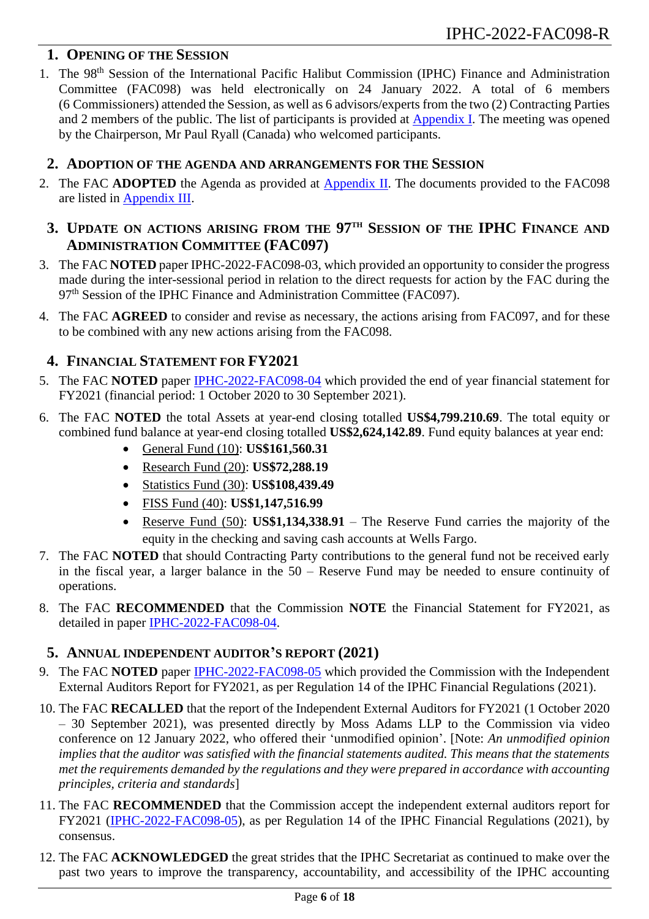## <span id="page-5-0"></span>**1. OPENING OF THE SESSION**

1. The 98<sup>th</sup> Session of the International Pacific Halibut Commission (IPHC) Finance and Administration Committee (FAC098) was held electronically on 24 January 2022. A total of 6 members (6 Commissioners) attended the Session, as well as 6 advisors/experts from the two (2) Contracting Parties and 2 members of the public. The list of participants is provided at **Appendix I**. The meeting was opened by the Chairperson, Mr Paul Ryall (Canada) who welcomed participants.

## <span id="page-5-1"></span>**2. ADOPTION OF THE AGENDA AND ARRANGEMENTS FOR THE SESSION**

- <span id="page-5-2"></span>2. The FAC **ADOPTED** the Agenda as provided at [Appendix II.](#page-10-0) The documents provided to the FAC098 are listed in [Appendix III.](#page-11-0)
	- **3. UPDATE ON ACTIONS ARISING FROM THE 97 TH SESSION OF THE IPHC FINANCE AND ADMINISTRATION COMMITTEE (FAC097)**
- 3. The FAC **NOTED** paper IPHC-2022-FAC098-03, which provided an opportunity to consider the progress made during the inter-sessional period in relation to the direct requests for action by the FAC during the 97<sup>th</sup> Session of the IPHC Finance and Administration Committee (FAC097).
- 4. The FAC **AGREED** to consider and revise as necessary, the actions arising from FAC097, and for these to be combined with any new actions arising from the FAC098.

## <span id="page-5-3"></span>**4. FINANCIAL STATEMENT FOR FY2021**

- 5. The FAC **NOTED** paper [IPHC-2022-FAC098-04](https://www.iphc.int/uploads/pdf/fac/fac098/iphc-2022-fac098-04.pdf) which provided the end of year financial statement for FY2021 (financial period: 1 October 2020 to 30 September 2021).
- 6. The FAC **NOTED** the total Assets at year-end closing totalled **US\$4,799.210.69**. The total equity or combined fund balance at year-end closing totalled **US\$2,624,142.89**. Fund equity balances at year end:
	- General Fund (10): **US\$161,560.31**
	- Research Fund (20): **US\$72,288.19**
	- Statistics Fund (30): **US\$108,439.49**
	- FISS Fund (40): **US\$1,147,516.99**
	- Reserve Fund (50): **US\$1,134,338.91** The Reserve Fund carries the majority of the equity in the checking and saving cash accounts at Wells Fargo.
- 7. The FAC **NOTED** that should Contracting Party contributions to the general fund not be received early in the fiscal year, a larger balance in the 50 – Reserve Fund may be needed to ensure continuity of operations.
- <span id="page-5-5"></span>8. The FAC **RECOMMENDED** that the Commission **NOTE** the Financial Statement for FY2021, as detailed in paper [IPHC-2022-FAC098-04.](https://www.iphc.int/uploads/pdf/fac/fac098/iphc-2022-fac098-04.pdf)

## <span id="page-5-4"></span>**5. ANNUAL INDEPENDENT AUDITOR'S REPORT (2021)**

- 9. The FAC **NOTED** paper [IPHC-2022-FAC098-05](https://www.iphc.int/uploads/pdf/fac/fac098/iphc-2022-fac098-05.pdf) which provided the Commission with the Independent External Auditors Report for FY2021, as per Regulation 14 of the IPHC Financial Regulations (2021).
- 10. The FAC **RECALLED** that the report of the Independent External Auditors for FY2021 (1 October 2020 – 30 September 2021), was presented directly by Moss Adams LLP to the Commission via video conference on 12 January 2022, who offered their 'unmodified opinion'. [Note: *An unmodified opinion implies that the auditor was satisfied with the financial statements audited. This means that the statements met the requirements demanded by the regulations and they were prepared in accordance with accounting principles, criteria and standards*]
- <span id="page-5-6"></span>11. The FAC **RECOMMENDED** that the Commission accept the independent external auditors report for FY2021 [\(IPHC-2022-FAC098-05\)](https://www.iphc.int/uploads/pdf/fac/fac098/iphc-2022-fac098-05.pdf), as per Regulation 14 of the IPHC Financial Regulations (2021), by consensus.
- 12. The FAC **ACKNOWLEDGED** the great strides that the IPHC Secretariat as continued to make over the past two years to improve the transparency, accountability, and accessibility of the IPHC accounting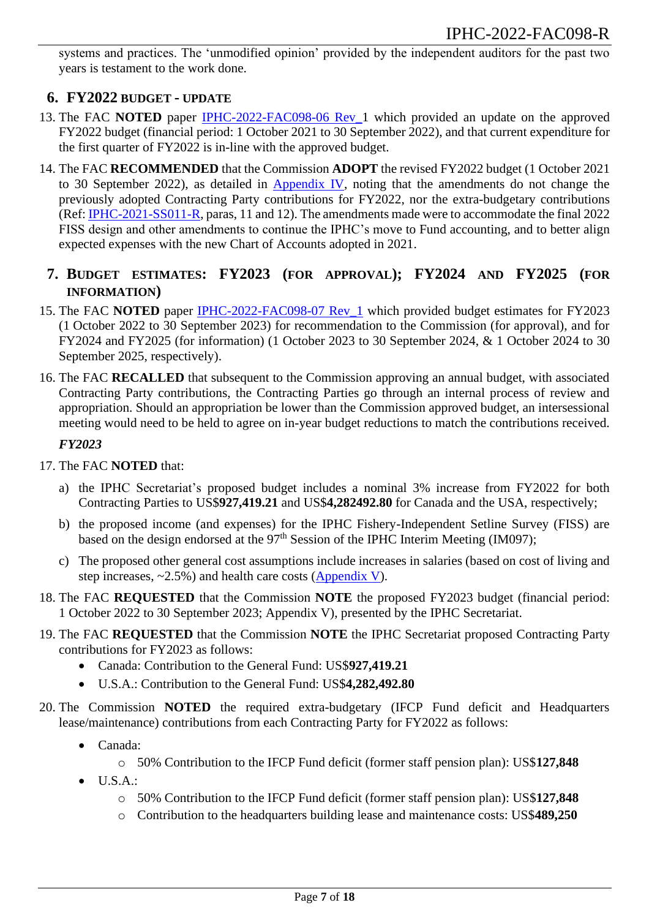systems and practices. The 'unmodified opinion' provided by the independent auditors for the past two years is testament to the work done.

## <span id="page-6-0"></span>**6. FY2022 BUDGET - UPDATE**

- 13. The FAC **NOTED** paper [IPHC-2022-FAC098-06](https://www.iphc.int/uploads/pdf/fac/fac098/iphc-2022-fac098-06.pdf) Rev\_1 which provided an update on the approved FY2022 budget (financial period: 1 October 2021 to 30 September 2022), and that current expenditure for the first quarter of FY2022 is in-line with the approved budget.
- <span id="page-6-2"></span>14. The FAC **RECOMMENDED** that the Commission **ADOPT** the revised FY2022 budget (1 October 2021 to 30 September 2022), as detailed in  $\Delta$ ppendix IV, noting that the amendments do not change the previously adopted Contracting Party contributions for FY2022, nor the extra-budgetary contributions (Ref: [IPHC-2021-SS011-R,](https://www.iphc.int/venues/details/11th-special-session-of-the-iphc-ss011) paras, 11 and 12). The amendments made were to accommodate the final 2022 FISS design and other amendments to continue the IPHC's move to Fund accounting, and to better align expected expenses with the new Chart of Accounts adopted in 2021.

## <span id="page-6-1"></span>**7. BUDGET ESTIMATES: FY2023 (FOR APPROVAL); FY2024 AND FY2025 (FOR INFORMATION)**

- 15. The FAC **NOTED** paper [IPHC-2022-FAC098-07](https://www.iphc.int/uploads/pdf/fac/fac098/iphc-2022-fac098-07.pdf) Rev\_1 which provided budget estimates for FY2023 (1 October 2022 to 30 September 2023) for recommendation to the Commission (for approval), and for FY2024 and FY2025 (for information) (1 October 2023 to 30 September 2024, & 1 October 2024 to 30 September 2025, respectively).
- 16. The FAC **RECALLED** that subsequent to the Commission approving an annual budget, with associated Contracting Party contributions, the Contracting Parties go through an internal process of review and appropriation. Should an appropriation be lower than the Commission approved budget, an intersessional meeting would need to be held to agree on in-year budget reductions to match the contributions received.

### *FY2023*

- 17. The FAC **NOTED** that:
	- a) the IPHC Secretariat's proposed budget includes a nominal 3% increase from FY2022 for both Contracting Parties to US\$**927,419.21** and US\$**4,282492.80** for Canada and the USA, respectively;
	- b) the proposed income (and expenses) for the IPHC Fishery-Independent Setline Survey (FISS) are based on the design endorsed at the 97<sup>th</sup> Session of the IPHC Interim Meeting (IM097);
	- c) The proposed other general cost assumptions include increases in salaries (based on cost of living and step increases,  $\sim$ 2.5%) and health care costs [\(Appendix V\)](#page-13-0).
- <span id="page-6-3"></span>18. The FAC **REQUESTED** that the Commission **NOTE** the proposed FY2023 budget (financial period: 1 October 2022 to 30 September 2023; Appendix V), presented by the IPHC Secretariat.
- <span id="page-6-4"></span>19. The FAC **REQUESTED** that the Commission **NOTE** the IPHC Secretariat proposed Contracting Party contributions for FY2023 as follows:
	- Canada: Contribution to the General Fund: US\$**927,419.21**
	- U.S.A.: Contribution to the General Fund: US\$**4,282,492.80**
- 20. The Commission **NOTED** the required extra-budgetary (IFCP Fund deficit and Headquarters lease/maintenance) contributions from each Contracting Party for FY2022 as follows:
	- Canada:
		- o 50% Contribution to the IFCP Fund deficit (former staff pension plan): US\$**127,848**
	- $\bullet$  U.S.A.:
		- o 50% Contribution to the IFCP Fund deficit (former staff pension plan): US\$**127,848**
		- o Contribution to the headquarters building lease and maintenance costs: US\$**489,250**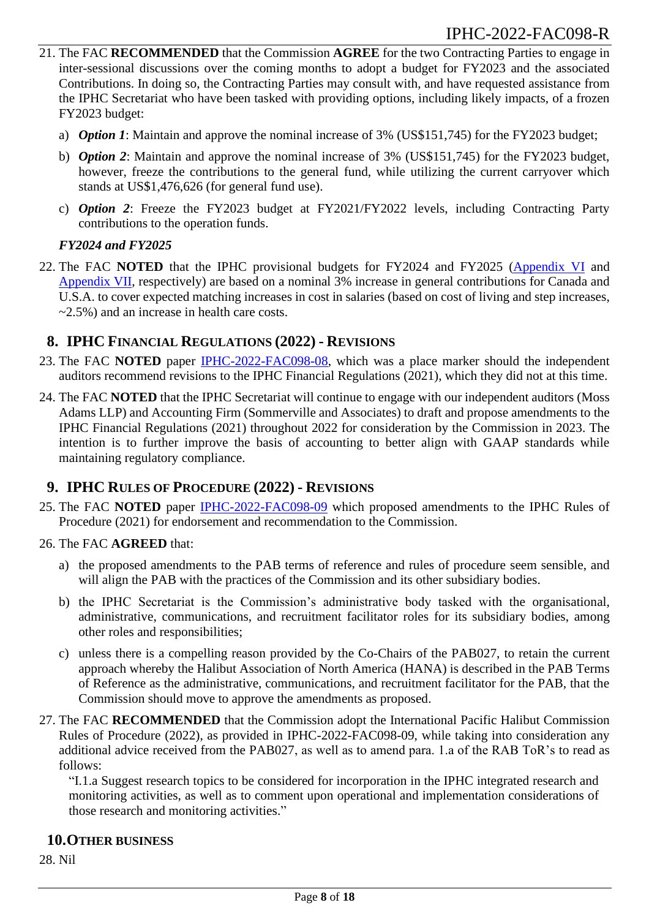- <span id="page-7-3"></span>21. The FAC **RECOMMENDED** that the Commission **AGREE** for the two Contracting Parties to engage in inter-sessional discussions over the coming months to adopt a budget for FY2023 and the associated Contributions. In doing so, the Contracting Parties may consult with, and have requested assistance from the IPHC Secretariat who have been tasked with providing options, including likely impacts, of a frozen FY2023 budget:
	- a) *Option 1*: Maintain and approve the nominal increase of 3% (US\$151,745) for the FY2023 budget;
	- b) *Option 2*: Maintain and approve the nominal increase of 3% (US\$151,745) for the FY2023 budget, however, freeze the contributions to the general fund, while utilizing the current carryover which stands at US\$1,476,626 (for general fund use).
	- c) *Option 2*: Freeze the FY2023 budget at FY2021/FY2022 levels, including Contracting Party contributions to the operation funds.

### *FY2024 and FY2025*

22. The FAC **NOTED** that the IPHC provisional budgets for FY2024 and FY2025 [\(Appendix VI](#page-14-0) and [Appendix](#page-15-0) VII, respectively) are based on a nominal 3% increase in general contributions for Canada and U.S.A. to cover expected matching increases in cost in salaries (based on cost of living and step increases,  $\approx$  2.5%) and an increase in health care costs.

## <span id="page-7-0"></span>**8. IPHC FINANCIAL REGULATIONS (2022) - REVISIONS**

- 23. The FAC **NOTED** paper [IPHC-2022-FAC098-08,](https://www.iphc.int/uploads/pdf/fac/fac098/iphc-2022-fac098-08.pdf) which was a place marker should the independent auditors recommend revisions to the IPHC Financial Regulations (2021), which they did not at this time.
- 24. The FAC **NOTED** that the IPHC Secretariat will continue to engage with our independent auditors (Moss Adams LLP) and Accounting Firm (Sommerville and Associates) to draft and propose amendments to the IPHC Financial Regulations (2021) throughout 2022 for consideration by the Commission in 2023. The intention is to further improve the basis of accounting to better align with GAAP standards while maintaining regulatory compliance.

## <span id="page-7-1"></span>**9. IPHC RULES OF PROCEDURE (2022) - REVISIONS**

- 25. The FAC **NOTED** paper [IPHC-2022-FAC098-09](https://www.iphc.int/uploads/pdf/fac/fac098/iphc-2022-fac098-09.pdf) which proposed amendments to the IPHC Rules of Procedure (2021) for endorsement and recommendation to the Commission.
- 26. The FAC **AGREED** that:
	- a) the proposed amendments to the PAB terms of reference and rules of procedure seem sensible, and will align the PAB with the practices of the Commission and its other subsidiary bodies.
	- b) the IPHC Secretariat is the Commission's administrative body tasked with the organisational, administrative, communications, and recruitment facilitator roles for its subsidiary bodies, among other roles and responsibilities;
	- c) unless there is a compelling reason provided by the Co-Chairs of the PAB027, to retain the current approach whereby the Halibut Association of North America (HANA) is described in the PAB Terms of Reference as the administrative, communications, and recruitment facilitator for the PAB, that the Commission should move to approve the amendments as proposed.
- <span id="page-7-4"></span>27. The FAC **RECOMMENDED** that the Commission adopt the International Pacific Halibut Commission Rules of Procedure (2022), as provided in IPHC-2022-FAC098-09, while taking into consideration any additional advice received from the PAB027, as well as to amend para. 1.a of the RAB ToR's to read as follows:

"I.1.a Suggest research topics to be considered for incorporation in the IPHC integrated research and monitoring activities, as well as to comment upon operational and implementation considerations of those research and monitoring activities."

### <span id="page-7-2"></span>**10.OTHER BUSINESS**

28. Nil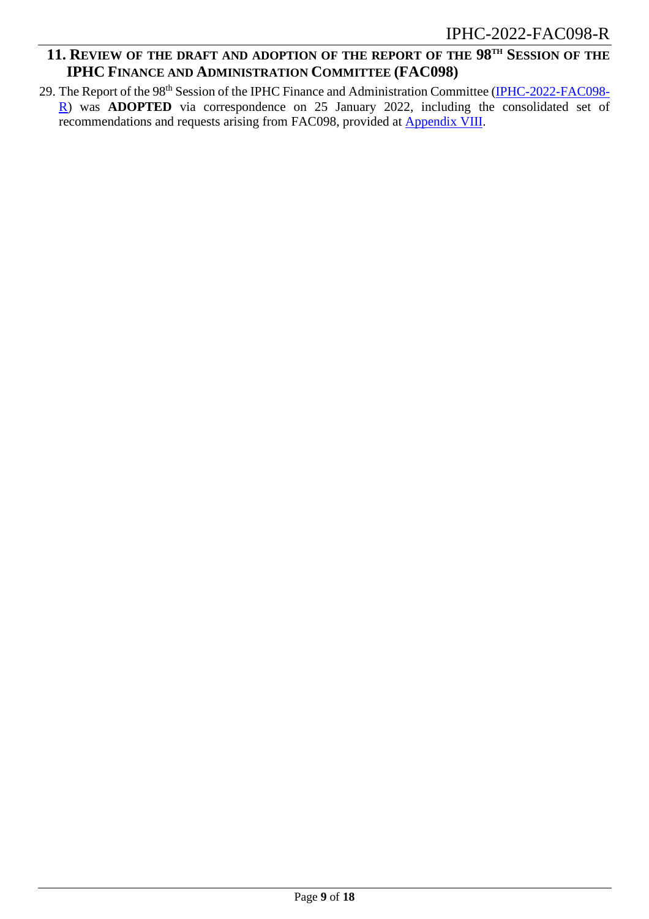## <span id="page-8-0"></span>**11. REVIEW OF THE DRAFT AND ADOPTION OF THE REPORT OF THE 98 TH SESSION OF THE IPHC FINANCE AND ADMINISTRATION COMMITTEE (FAC098)**

29. The Report of the 98<sup>th</sup> Session of the IPHC Finance and Administration Committee [\(IPHC-2022-FAC098-](https://www.iphc.int/venues/details/98th-session-of-the-iphc-finance-and-administration-committee-fac098) [R\)](https://www.iphc.int/venues/details/98th-session-of-the-iphc-finance-and-administration-committee-fac098) was **ADOPTED** via correspondence on 25 January 2022, including the consolidated set of recommendations and requests arising from FAC098, provided at **Appendix VIII**.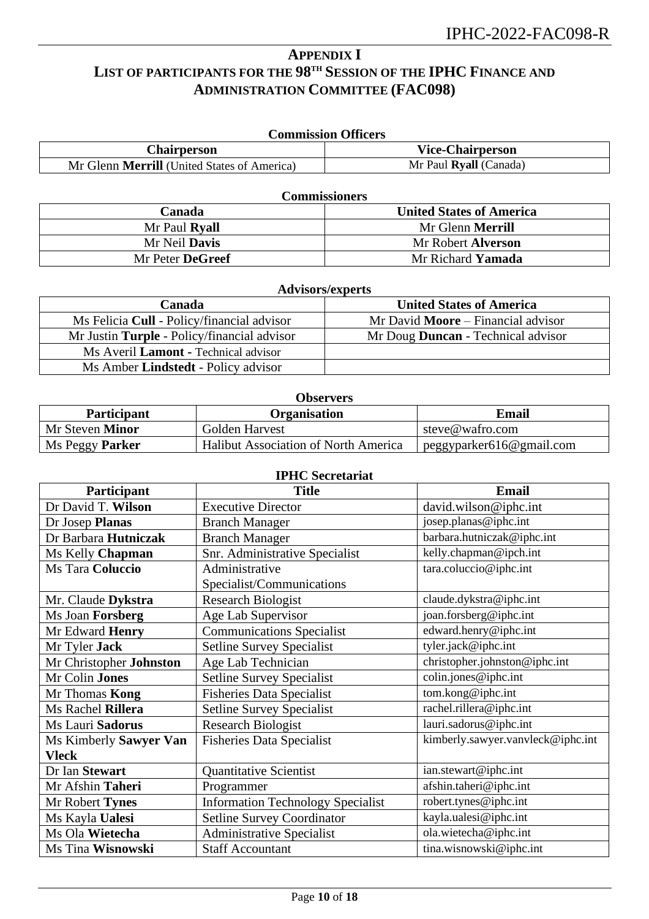## <span id="page-9-0"></span>**APPENDIX I LIST OF PARTICIPANTS FOR THE 98 TH SESSION OF THE IPHC FINANCE AND ADMINISTRATION COMMITTEE (FAC098)**

| <b>Commission Officers</b>                         |                         |  |
|----------------------------------------------------|-------------------------|--|
| Chairperson                                        | <b>Vice-Chairperson</b> |  |
| Mr Glenn <b>Merrill</b> (United States of America) | Mr Paul Ryall (Canada)  |  |

| <b>Commissioners</b> |                                 |  |
|----------------------|---------------------------------|--|
| Canada               | <b>United States of America</b> |  |
| Mr Paul Ryall        | Mr Glenn <b>Merrill</b>         |  |
| Mr Neil <b>Davis</b> | Mr Robert <b>Alverson</b>       |  |
| Mr Peter DeGreef     | Mr Richard <b>Yamada</b>        |  |

| <b>Advisors/experts</b>                     |                                           |  |
|---------------------------------------------|-------------------------------------------|--|
| Canada                                      | <b>United States of America</b>           |  |
| Ms Felicia Cull - Policy/financial advisor  | Mr David <b>Moore</b> – Financial advisor |  |
| Mr Justin Turple - Policy/financial advisor | Mr Doug <b>Duncan</b> - Technical advisor |  |
| Ms Averil Lamont - Technical advisor        |                                           |  |
| Ms Amber Lindstedt - Policy advisor         |                                           |  |

| <b>Participant</b>     | <b>Organisation</b>                         | Email                    |
|------------------------|---------------------------------------------|--------------------------|
| Mr Steven Minor        | Golden Harvest                              | steve@wafro.com          |
| Ms Peggy <b>Parker</b> | <b>Halibut Association of North America</b> | peggyparker616@gmail.com |

| <b>IPHC Secretariat</b> |  |
|-------------------------|--|
|-------------------------|--|

| Participant             | <b>Title</b>                             | <b>Email</b>                      |
|-------------------------|------------------------------------------|-----------------------------------|
| Dr David T. Wilson      | <b>Executive Director</b>                | david.wilson@iphc.int             |
| Dr Josep Planas         | <b>Branch Manager</b>                    | josep.planas@iphc.int             |
| Dr Barbara Hutniczak    | <b>Branch Manager</b>                    | barbara.hutniczak@iphc.int        |
| Ms Kelly Chapman        | Snr. Administrative Specialist           | kelly.chapman@ipch.int            |
| Ms Tara Coluccio        | Administrative                           | tara.coluccio@iphc.int            |
|                         | Specialist/Communications                |                                   |
| Mr. Claude Dykstra      | <b>Research Biologist</b>                | claude.dykstra@iphc.int           |
| Ms Joan Forsberg        | Age Lab Supervisor                       | joan.forsberg@iphc.int            |
| Mr Edward Henry         | <b>Communications Specialist</b>         | edward.henry@iphc.int             |
| Mr Tyler Jack           | <b>Setline Survey Specialist</b>         | tyler.jack@iphc.int               |
| Mr Christopher Johnston | Age Lab Technician                       | christopher.johnston@iphc.int     |
| Mr Colin Jones          | <b>Setline Survey Specialist</b>         | colin.jones@iphc.int              |
| Mr Thomas Kong          | <b>Fisheries Data Specialist</b>         | tom.kong@iphc.int                 |
| Ms Rachel Rillera       | <b>Setline Survey Specialist</b>         | rachel.rillera@iphc.int           |
| Ms Lauri Sadorus        | <b>Research Biologist</b>                | lauri.sadorus@iphc.int            |
| Ms Kimberly Sawyer Van  | <b>Fisheries Data Specialist</b>         | kimberly.sawyer.vanvleck@iphc.int |
| <b>Vleck</b>            |                                          |                                   |
| Dr Ian Stewart          | <b>Quantitative Scientist</b>            | ian.stewart@iphc.int              |
| Mr Afshin Taheri        | Programmer                               | afshin.taheri@iphc.int            |
| Mr Robert Tynes         | <b>Information Technology Specialist</b> | robert.tynes@iphc.int             |
| Ms Kayla Ualesi         | Setline Survey Coordinator               | kayla.ualesi@iphc.int             |
| Ms Ola Wietecha         | <b>Administrative Specialist</b>         | ola.wietecha@iphc.int             |
| Ms Tina Wisnowski       | <b>Staff Accountant</b>                  | tina.wisnowski@iphc.int           |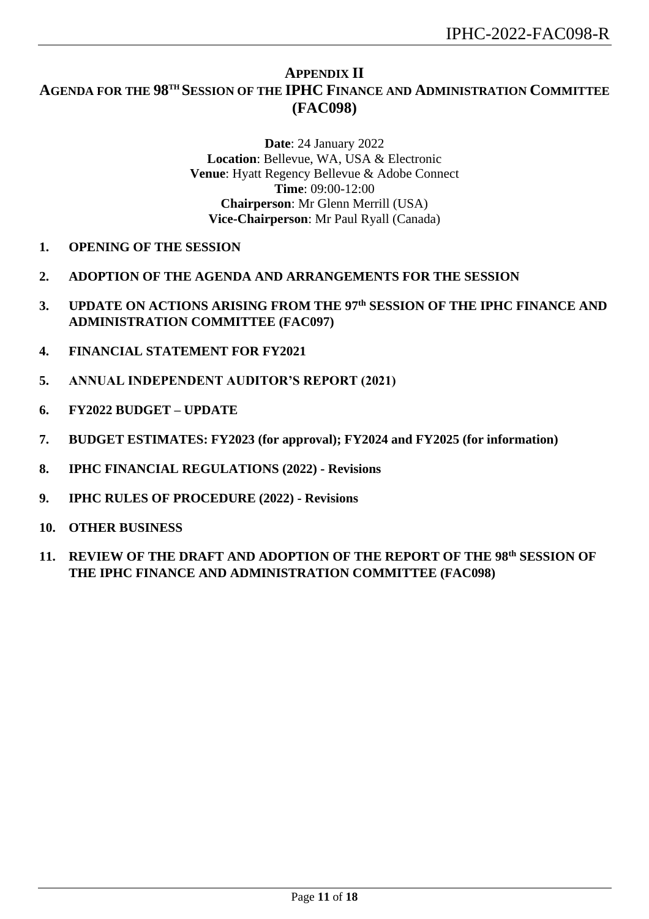## **APPENDIX II**

## <span id="page-10-0"></span>**AGENDA FOR THE 98 TH SESSION OF THE IPHC FINANCE AND ADMINISTRATION COMMITTEE (FAC098)**

**Date**: 24 January 2022 **Location**: Bellevue, WA, USA & Electronic **Venue**: Hyatt Regency Bellevue & Adobe Connect **Time**: 09:00-12:00 **Chairperson**: Mr Glenn Merrill (USA) **Vice-Chairperson**: Mr Paul Ryall (Canada)

- **1. OPENING OF THE SESSION**
- **2. ADOPTION OF THE AGENDA AND ARRANGEMENTS FOR THE SESSION**
- **3. UPDATE ON ACTIONS ARISING FROM THE 97th SESSION OF THE IPHC FINANCE AND ADMINISTRATION COMMITTEE (FAC097)**
- **4. FINANCIAL STATEMENT FOR FY2021**
- **5. ANNUAL INDEPENDENT AUDITOR'S REPORT (2021)**
- **6. FY2022 BUDGET – UPDATE**
- **7. BUDGET ESTIMATES: FY2023 (for approval); FY2024 and FY2025 (for information)**
- **8. IPHC FINANCIAL REGULATIONS (2022) - Revisions**
- **9. IPHC RULES OF PROCEDURE (2022) - Revisions**
- **10. OTHER BUSINESS**
- **11. REVIEW OF THE DRAFT AND ADOPTION OF THE REPORT OF THE 98th SESSION OF THE IPHC FINANCE AND ADMINISTRATION COMMITTEE (FAC098)**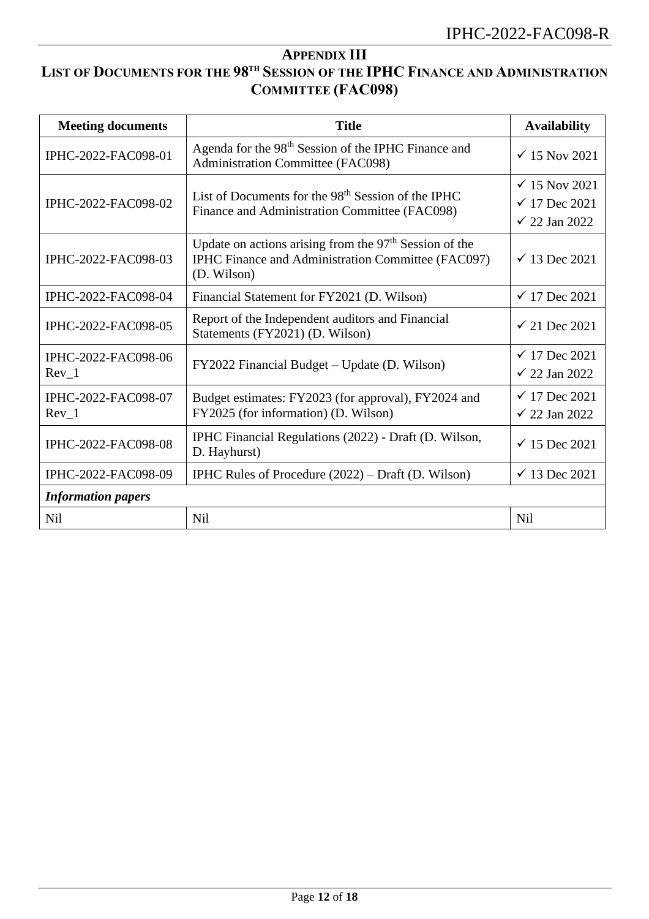## <span id="page-11-0"></span>**APPENDIX III LIST OF DOCUMENTS FOR THE 98 TH SESSION OF THE IPHC FINANCE AND ADMINISTRATION COMMITTEE (FAC098)**

| <b>Meeting documents</b>       | <b>Title</b>                                                                                                                  | <b>Availability</b>                                                              |  |  |  |  |  |
|--------------------------------|-------------------------------------------------------------------------------------------------------------------------------|----------------------------------------------------------------------------------|--|--|--|--|--|
| IPHC-2022-FAC098-01            | Agenda for the 98 <sup>th</sup> Session of the IPHC Finance and<br>Administration Committee (FAC098)                          | $\checkmark$ 15 Nov 2021                                                         |  |  |  |  |  |
| IPHC-2022-FAC098-02            | List of Documents for the $98th$ Session of the IPHC<br>Finance and Administration Committee (FAC098)                         | $\checkmark$ 15 Nov 2021<br>$\checkmark$ 17 Dec 2021<br>$\checkmark$ 22 Jan 2022 |  |  |  |  |  |
| IPHC-2022-FAC098-03            | Update on actions arising from the $97th$ Session of the<br>IPHC Finance and Administration Committee (FAC097)<br>(D. Wilson) | $\checkmark$ 13 Dec 2021                                                         |  |  |  |  |  |
| IPHC-2022-FAC098-04            | Financial Statement for FY2021 (D. Wilson)                                                                                    | $\sqrt{17}$ Dec 2021                                                             |  |  |  |  |  |
| IPHC-2022-FAC098-05            | Report of the Independent auditors and Financial<br>Statements (FY2021) (D. Wilson)                                           | $\checkmark$ 21 Dec 2021                                                         |  |  |  |  |  |
| IPHC-2022-FAC098-06<br>Rev 1   | FY2022 Financial Budget – Update (D. Wilson)                                                                                  | $\checkmark$ 17 Dec 2021<br>$\checkmark$ 22 Jan 2022                             |  |  |  |  |  |
| IPHC-2022-FAC098-07<br>$Rev_1$ | Budget estimates: FY2023 (for approval), FY2024 and<br>FY2025 (for information) (D. Wilson)                                   | $\checkmark$ 17 Dec 2021<br>$\checkmark$ 22 Jan 2022                             |  |  |  |  |  |
| IPHC-2022-FAC098-08            | IPHC Financial Regulations (2022) - Draft (D. Wilson,<br>D. Hayhurst)                                                         | $\checkmark$ 15 Dec 2021                                                         |  |  |  |  |  |
| IPHC-2022-FAC098-09            | <b>IPHC Rules of Procedure <math>(2022)</math> – Draft (D. Wilson)</b>                                                        | $\checkmark$ 13 Dec 2021                                                         |  |  |  |  |  |
| <b>Information papers</b>      |                                                                                                                               |                                                                                  |  |  |  |  |  |
| <b>Nil</b>                     | <b>Nil</b>                                                                                                                    | <b>Nil</b>                                                                       |  |  |  |  |  |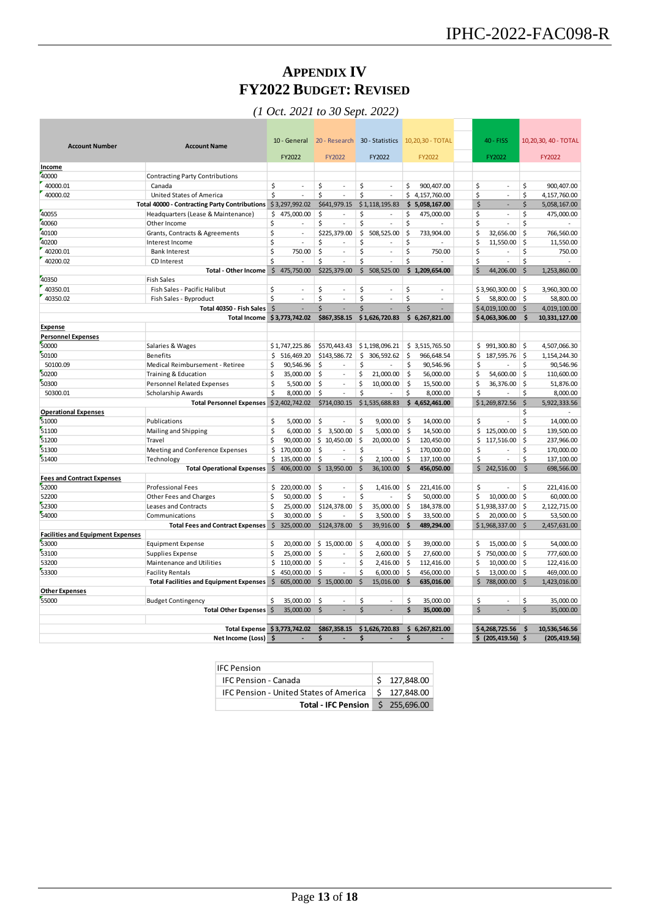## **APPENDIX IV FY2022 BUDGET: REVISED**

*(1 Oct. 2021 to 30 Sept. 2022)*

<span id="page-12-0"></span>

| <b>Account Number</b>                    | <b>Account Name</b>                                  |                     | 10 - General             |         |                          |                    | 20 - Research 30 - Statistics |          | 10,20,30 - TOTAL | 40 - FISS                 |                    | 10,20,30, 40 - TOTAL |
|------------------------------------------|------------------------------------------------------|---------------------|--------------------------|---------|--------------------------|--------------------|-------------------------------|----------|------------------|---------------------------|--------------------|----------------------|
|                                          |                                                      |                     | FY2022                   |         | <b>FY2022</b>            |                    | FY2022                        |          | FY2022           | FY2022                    |                    | FY2022               |
| Income                                   |                                                      |                     |                          |         |                          |                    |                               |          |                  |                           |                    |                      |
| 40000                                    | <b>Contracting Party Contributions</b>               |                     |                          |         |                          |                    |                               |          |                  |                           |                    |                      |
| 40000.01                                 | Canada                                               | \$                  | ÷                        | \$      | ÷                        | \$                 | $\sim$                        | \$       | 900,407.00       | \$<br>÷                   | \$                 | 900,407.00           |
| 40000.02                                 | United States of America                             | \$                  |                          | \$      | $\overline{a}$           | \$                 | ÷,                            |          | \$4,157,760.00   | \$<br>÷                   | \$                 | 4,157,760.00         |
|                                          | <b>Total 40000 - Contracting Party Contributions</b> |                     | \$3,297,992.02           |         | \$641,979.15             |                    | \$1,118,195.83                |          | \$5,058,167.00   | \$                        | \$                 | 5,058,167.00         |
| 40055                                    | Headquarters (Lease & Maintenance)                   | \$                  | 475,000.00               | \$      | ÷,                       | \$                 | L.                            | \$       | 475,000.00       | \$<br>$\sim$<br>÷,        | \$                 | 475,000.00           |
| 40060                                    | Other Income                                         | \$                  |                          | \$      |                          | \$                 |                               | \$       |                  | \$                        | \$                 |                      |
| 40100<br>40200                           | Grants, Contracts & Agreements                       | \$<br>\$            | $\sim$<br>$\overline{a}$ | \$      | \$225,379.00             | \$<br>Ś            | 508,525.00                    | \$<br>\$ | 733,904.00       | \$<br>32,656.00<br>\$     | \$                 | 766,560.00           |
| 40200.01                                 | Interest Income                                      | \$                  | 750.00                   |         | ÷.                       |                    | $\sim$                        |          | 750.00           | 11,550.00                 | \$                 | 11,550.00            |
| 40200.02                                 | <b>Bank Interest</b>                                 | \$                  |                          | \$<br>Ś | $\ddot{\phantom{1}}$     | \$<br>\$           | ä,                            | \$<br>\$ |                  | \$<br>\$                  | \$<br>\$           | 750.00               |
|                                          | CD Interest<br><b>Total - Other Income</b>           | $\frac{1}{2}$       | 475,750.00               |         | \$225,379.00             | \$                 | 508,525.00                    |          | \$1,209,654.00   | \$<br>44,206.00           | \$                 | 1,253,860.00         |
| 40350                                    | <b>Fish Sales</b>                                    |                     |                          |         |                          |                    |                               |          |                  |                           |                    |                      |
| 40350.01                                 | Fish Sales - Pacific Halibut                         | \$                  | $\blacksquare$           | \$      | $\bar{\phantom{a}}$      | \$                 | $\blacksquare$                | \$       | $\blacksquare$   | \$3,960,300.00            | \$                 | 3,960,300.00         |
| 40350.02                                 |                                                      | \$                  | ÷                        | \$      | L.                       | \$                 | L.                            | \$       |                  | \$<br>58,800.00           | -\$                | 58,800.00            |
|                                          | Fish Sales - Byproduct<br>Total 40350 - Fish Sales   | Ś                   |                          | \$      |                          | \$                 | $\overline{a}$                | \$       | $\overline{a}$   | \$4,019,100.00            | $\zeta$            | 4,019,100.00         |
|                                          | <b>Total Income</b>                                  |                     | \$3,773,742.02           |         | \$867,358.15             |                    | \$1,626,720.83                |          | \$6,267,821.00   | \$4,063,306.00            | \$                 | 10,331,127.00        |
| <b>Expense</b>                           |                                                      |                     |                          |         |                          |                    |                               |          |                  |                           |                    |                      |
| <b>Personnel Expenses</b>                |                                                      |                     |                          |         |                          |                    |                               |          |                  |                           |                    |                      |
| 50000                                    | Salaries & Wages                                     |                     | \$1,747,225.86           |         | \$570,443.43             |                    | \$1,198,096.21                |          | \$3,515,765.50   | \$991,300.80              | \$                 | 4,507,066.30         |
| 50100                                    | Benefits                                             | \$                  | 516,469.20               |         | \$143,586.72             | \$                 | 306,592.62                    | \$       | 966,648.54       | \$<br>187,595.76          | \$                 | 1,154,244.30         |
| 50100.09                                 | Medical Reimbursement - Retiree                      | \$                  | 90,546.96                | \$      | $\sim$                   | \$                 | $\blacksquare$                | \$       | 90,546.96        | \$<br>$\sim$              | \$                 | 90,546.96            |
| 50200                                    | Training & Education                                 | \$                  | 35.000.00                | Ś.      | ÷.                       | Ś                  | 21.000.00                     | \$       | 56.000.00        | \$<br>54.600.00           | Ŝ.                 | 110,600.00           |
| 50300                                    | <b>Personnel Related Expenses</b>                    | \$                  | 5,500.00                 | \$      | $\bar{\phantom{a}}$      | \$                 | 10,000.00                     | \$       | 15,500.00        | \$<br>36,376.00           | \$                 | 51,876.00            |
| 50300.01                                 | <b>Scholarship Awards</b>                            | \$                  | 8,000.00                 | \$      | ä,                       | \$                 |                               | \$       | 8,000.00         | \$                        | \$                 | 8,000.00             |
|                                          | <b>Total Personnel Expenses</b>                      |                     | \$2,402,742.02           |         | \$714,030.15             |                    | \$1,535,688.83                |          | \$4,652,461.00   | \$1,269,872.56            | \$                 | 5,922,333.56         |
| <b>Operational Expenses</b>              |                                                      |                     |                          |         |                          |                    |                               |          |                  |                           | \$                 |                      |
| 51000                                    | Publications                                         | \$                  | 5,000.00                 | \$      | ä,                       | \$                 | 9,000.00                      | \$       | 14,000.00        | \$<br>$\bar{\phantom{a}}$ | \$                 | 14,000.00            |
| 51100                                    | Mailing and Shipping                                 | \$                  | 6,000.00                 | \$      | 3,500.00                 | \$                 | 5,000.00                      | \$       | 14,500.00        | \$125,000.00              | \$.                | 139,500.00           |
| 51200                                    | Travel                                               | \$                  | 90,000.00                |         | \$10,450.00              | \$                 | 20,000.00                     | \$       | 120,450.00       | \$<br>117,516.00          | \$                 | 237,966.00           |
| 51300                                    | Meeting and Conference Expenses                      | \$                  | 170,000.00               | \$      |                          | \$                 | $\overline{a}$                | \$       | 170,000.00       | \$<br>÷                   | \$                 | 170,000.00           |
| 51400                                    | Technology                                           | \$                  | 135,000.00               | \$      | L.                       | \$                 | 2,100.00                      | S,       | 137,100.00       | \$<br>$\overline{a}$      | \$                 | 137,100.00           |
|                                          | <b>Total Operational Expenses</b>                    | $\ddot{\varsigma}$  | 406,000.00               |         | \$13,950.00              | \$                 | 36,100.00                     | Ś        | 456,050.00       | \$<br>242,516.00          | \$                 | 698,566.00           |
| <b>Fees and Contract Expenses</b>        |                                                      |                     |                          |         |                          |                    |                               |          |                  |                           |                    |                      |
| 52000                                    | <b>Professional Fees</b>                             | Ś.                  | 220,000.00               | \$      | ä,                       | \$                 | 1,416.00                      | \$       | 221,416.00       | \$<br>$\bar{\phantom{a}}$ | Ś                  | 221,416.00           |
| 52200                                    | Other Fees and Charges                               | \$                  | 50,000.00                | \$      | $\overline{\phantom{a}}$ | \$                 |                               | \$       | 50,000.00        | Ś<br>10,000.00            | -\$                | 60,000.00            |
| 52300                                    | Leases and Contracts                                 | \$                  | 25,000.00                |         | \$124,378.00             | -\$                | 35,000.00                     | \$       | 184,378.00       | \$1,938,337.00            | -\$                | 2,122,715.00         |
| 54000                                    | Communications                                       | \$                  | 30,000.00                | \$      | $\sim$                   | \$                 | 3,500.00                      | \$       | 33,500.00        | \$<br>20,000.00           | ۱\$                | 53,500.00            |
|                                          | <b>Total Fees and Contract Expenses</b>              | $\zeta$             | 325,000.00               |         | \$124,378.00             | $\mathsf{\hat{S}}$ | 39,916.00                     | \$       | 489,294.00       | \$1,968,337.00            | $\mathsf{\hat{S}}$ | 2,457,631.00         |
| <b>Facilities and Equipment Expenses</b> |                                                      |                     |                          |         |                          |                    |                               |          |                  |                           |                    |                      |
| 53000                                    | <b>Equipment Expense</b>                             | \$                  | 20,000.00                |         | \$15,000.00              | \$                 | 4,000.00                      | \$       | 39,000.00        | \$<br>15,000.00           | \$                 | 54,000.00            |
| 53100                                    | Supplies Expense                                     | \$                  | 25,000.00                | \$      | $\overline{a}$           | \$                 | 2,600.00                      | \$       | 27,600.00        | \$<br>750,000.00          | $\zeta$            | 777,600.00           |
| 53200                                    | Maintenance and Utilities                            | \$                  | 110,000.00               | \$      | ÷.                       | \$                 | 2,416.00                      | \$       | 112,416.00       | \$<br>10,000.00           | -\$                | 122,416.00           |
| 53300                                    | <b>Facility Rentals</b>                              | \$                  | 450,000.00               | $\zeta$ | ÷,                       | Ś                  | 6,000.00                      | \$       | 456,000.00       | Ś<br>13,000.00            | Ŝ.                 | 469,000.00           |
|                                          | <b>Total Facilities and Equipment Expenses</b>       | $\ddot{\mathsf{s}}$ | 605,000.00               |         | \$15,000.00              | $\zeta$            | 15,016.00                     | \$       | 635,016.00       | \$<br>788,000.00          | \$                 | 1,423,016.00         |
| <b>Other Expenses</b>                    |                                                      |                     |                          |         |                          |                    |                               |          |                  |                           |                    |                      |
| 55000                                    | <b>Budget Contingency</b>                            | \$                  | 35,000.00                | \$      | $\overline{\phantom{a}}$ | \$                 | ÷,                            | \$       | 35,000.00        | \$<br>$\sim$              | \$                 | 35,000.00            |
|                                          | <b>Total Other Expenses</b>                          | $\zeta$             | 35,000.00                | \$      |                          | $\mathsf{\hat{S}}$ | $\overline{a}$                | \$       | 35,000.00        | \$                        | \$                 | 35,000.00            |
|                                          |                                                      |                     |                          |         |                          |                    |                               |          |                  |                           |                    |                      |
|                                          | <b>Total Expense</b>                                 |                     | \$3,773,742.02           |         | \$867,358.15             |                    | \$1,626,720.83                |          | \$6,267,821.00   | \$4,268,725.56            | \$                 | 10,536,546.56        |
| Net Income (Loss)                        |                                                      |                     |                          | \$      |                          | \$                 |                               | \$       |                  | \$ (205, 419.56)          | -\$                | (205, 419.56)        |

| <b>IFC Pension</b>                                           |              |
|--------------------------------------------------------------|--------------|
| <b>IFC Pension - Canada</b>                                  | \$127,848,00 |
| IFC Pension - United States of America $\vert$ \$ 127.848.00 |              |
| <b>Total - IFC Pension 5 255.696.00</b>                      |              |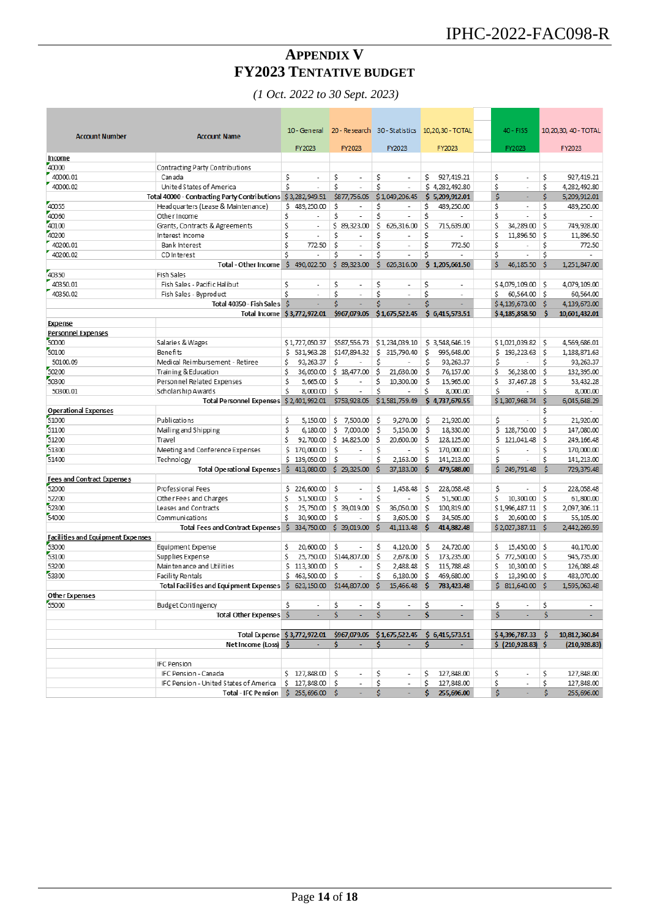## **APPENDIX V FY2023 TENTATIVE BUDGET**

*(1 Oct. 2022 to 30 Sept. 2023)*

<span id="page-13-0"></span>

| <b>Account Number</b>                    | <b>Account Name</b>                                          | 10 - General                   |                                |                                | 20 - Research 30 - Statistics 10,20,30 - TOTAL | 40 - FISS                      |        |     | 10, 20, 30, 40 - TOTAL |
|------------------------------------------|--------------------------------------------------------------|--------------------------------|--------------------------------|--------------------------------|------------------------------------------------|--------------------------------|--------|-----|------------------------|
|                                          |                                                              | FY2023                         | FY2023                         | FY2023                         | FY2023                                         | FY2023                         |        |     | FY2023                 |
| Income                                   |                                                              |                                |                                |                                |                                                |                                |        |     |                        |
| 40000                                    | Contracting Party Contributions                              |                                |                                |                                |                                                |                                |        |     |                        |
| 40000.01                                 | Canada                                                       | \$<br>٠                        | \$<br>ä,                       | \$<br>ä,                       | \$<br>927,419.21                               | Ś<br>÷,                        |        | Ś   | 927,419.21             |
| 40000.02                                 | United States of America                                     | Ś<br>$\overline{a}$            | Ś                              | Ś                              | \$4,282,492.80                                 | Ś<br>$\overline{\phantom{a}}$  |        | Ś   | 4,282,492.80           |
|                                          | Total 40000 - Contracting Party Contributions \$3,282,949.51 |                                | \$877,756.05                   | \$1,049,206.45                 | \$5,209,912.01                                 | \$<br>÷                        |        | Ś.  | 5,209,912.01           |
| 40055                                    | Head quarters (Lease & Maintenance)                          | \$489,250.00                   | Ś<br>٠                         | Ś<br>$\overline{\phantom{a}}$  | Ś<br>489,250.00                                | \$<br>÷,                       |        | Ś   | 489,250.00             |
| 40060                                    | Other Income                                                 | \$<br>$\overline{a}$           | Ś<br>÷,                        | Ś<br>$\overline{a}$            | Ś                                              | Ś<br>$\overline{\phantom{a}}$  |        | Ś   |                        |
| 40100                                    | Grants, Contracts & Agreements                               | \$<br>$\overline{\phantom{a}}$ | \$89,323.00                    | Ś<br>626,316.00                | Ś<br>715,639.00                                | \$<br>34,289.00                |        | Ś   | 749,928.00             |
| 40200                                    | Interest Income                                              | Ś<br>٠                         | Ś<br>÷                         | Ś<br>÷                         | Ś                                              | Ś<br>11,896.50                 |        | Ś   | 11,896.50              |
| 40200.01                                 | Bank Interest                                                | \$.<br>772.50                  | Ś<br>٠                         | Ś<br>$\overline{\phantom{a}}$  | Ś<br>772.50                                    | Ś<br>$\overline{\phantom{a}}$  |        | Ś   | 772.50                 |
| 40200.02                                 | CD Interest                                                  | Ś                              | Ś<br>$\overline{\phantom{a}}$  | Ś<br>$\overline{a}$            | Ś                                              | Ś<br>$\overline{\phantom{a}}$  |        | Ś   |                        |
|                                          | <b>Total - Other Income</b>                                  | \$490,022.50                   | \$89,323.00                    | \$626,316.00                   | \$1,205,661.50                                 | Ŝ<br>46,185.50                 |        | Ŝ   | 1,251,847.00           |
| 40350                                    | Fish Sales                                                   |                                |                                |                                |                                                |                                |        |     |                        |
| 40350.01                                 | Fish Sales - Pacific Halibut                                 | Ś<br>$\sim$                    | \$<br>$\sim$                   | \$<br>$\overline{\phantom{a}}$ | Ś<br>$\sim$                                    | \$4,079,109.00                 |        | S   | 4,079,109.00           |
| 40350.02                                 | Fish Sales - Byproduct                                       | Ś<br>$\overline{a}$            | Ś<br>÷,                        | Ś<br>$\overline{\phantom{a}}$  | Ś<br>$\overline{\phantom{a}}$                  | 60,564.00 \$<br>Ś              |        |     | 60,564.00              |
|                                          | Total 40350 - Fish Sales                                     | -\$<br>٠                       | Ś                              | Ŝ<br>٠                         | Ś                                              | \$4,139,673.00                 |        | -S  | 4,139,673.00           |
|                                          | <b>Total Income</b>                                          | \$3,772,972.01                 | \$967,079.05                   | \$1,675,522.45                 | \$6,415,573.51                                 | \$4,185,858.50                 |        | Ŝ   | 10,601,432.01          |
| <b>Expense</b>                           |                                                              |                                |                                |                                |                                                |                                |        |     |                        |
| Personnel Expenses                       |                                                              |                                |                                |                                |                                                |                                |        |     |                        |
| 50000                                    | Salaries & Wages                                             | \$1,727,050.37                 | \$587,556.73                   | \$1,234,039.10                 | \$3,548,646.19                                 | \$1,021,039.82                 |        | S   | 4,569,686.01           |
| 50100                                    | Benefits                                                     | \$531,963.28                   | \$147,894.32                   | Ś<br>315,790.40                | \$<br>995,648.00                               | \$193,223.63                   |        | Ś   | 1,188,871.63           |
| 50100.09                                 | Medical Reimbursement - Retiree                              | \$<br>93, 263. 37              | Ś                              | Ś                              | \$<br>93.263.37                                | \$                             |        | Ś   | 93, 263.37             |
| 50200                                    | Training & Education                                         | Ś<br>36,050.00                 | \$18,477.00                    | Ś<br>21,630.00                 | \$<br>76,157.00                                | Ś<br>56,238.00                 |        | Ś   | 132,395.00             |
| 50300                                    | Personnel Related Expenses                                   | Ś<br>5,665.00                  | Ś<br>ä,                        | \$<br>10.300.00                | \$<br>15,965.00                                | Ś<br>37,467.28                 |        | Ś   | 53,432.28              |
| 50300.01                                 | Scholarship A wards                                          | Ś<br>8,000.00                  | Ś<br>$\overline{\phantom{a}}$  | Ś<br>$\overline{a}$            | Ś<br>8,000.00                                  | Ś                              |        | Ś   | 8,000.00               |
|                                          | <b>Total Personnel Expenses</b>                              | \$2,401,992.01                 | \$753,928.05                   | \$1,581,759.49                 | \$4,737,679.55                                 | \$1,307,968.74                 |        | Ŝ   | 6,045,648.29           |
| <b>Operational Expenses</b>              |                                                              |                                |                                |                                |                                                |                                |        | Ś   |                        |
| 51000                                    | Publications                                                 | Ś<br>5.150.00                  | \$<br>7,500.00                 | Ś<br>9,270.00                  | \$.<br>21,920.00                               | Ś                              |        | Ś   | 21,920.00              |
| 51100                                    | Mailing and Shipping                                         | \$<br>6.180.00                 | Ś.<br>7.000.00                 | S<br>5,150.00                  | \$<br>18,330.00                                | Ś<br>128,750.00                |        | Ś   | 147,080.00             |
| 51200                                    | Travel                                                       | Ś<br>92,700.00                 | \$14,825.00                    | \$<br>20,600.00                | \$<br>128, 125.00                              | Ś<br>121,041.48                |        | Ś   | 249, 166.48            |
| 51300                                    | Meeting and Conference Expenses                              | Ś<br>170,000.00                | Ś                              | Ś<br>÷                         | Ś<br>170,000.00                                | Ś                              |        | Ś   | 170,000.00             |
| 51400                                    | Technology                                                   | \$<br>139,050.00               | Ś<br>٠                         | Ś<br>2,163.00                  | \$<br>141,213.00                               | Ś<br>$\overline{a}$            |        | Ś   | 141,213.00             |
|                                          | Total Operational Expenses \$                                | 413,080.00                     | \$29,325.00                    | S<br>37,183.00                 | Ŝ<br>479,588.00                                | \$249,791.48                   |        | Š   | 729,379.48             |
| <b>Fees and Contract Expenses</b>        |                                                              |                                |                                |                                |                                                |                                |        |     |                        |
| 52000                                    | Professional Fees                                            | \$<br>226,600.00               | Ś<br>÷                         | Ś<br>1,458.48                  | \$<br>228,058.48                               | Ś                              |        | Ś   | 228,058.48             |
| 52200                                    | Other Fees and Charges                                       | Ś<br>51,500.00                 | Ś                              | \$                             | \$<br>51,500.00                                | Ś<br>10,300.00                 |        | Ś   | 61,800.00              |
| 52300                                    | Leases and Contracts                                         | Ś<br>25,750.00                 | \$39,019.00                    | Ś<br>36,050.00                 | Ŝ<br>100,819.00                                | \$1,996,487.11                 |        | Ś   | 2,097,306.11           |
| 54000                                    | Communications                                               | Ś<br>30,900.00                 | Ŝ                              | Ś<br>3,605.00                  | \$<br>34,505.00                                | Ŝ<br>20,600.00                 |        | ۱Ś. | 55,105.00              |
|                                          | Total Fees and Contract Expenses \$334,750.00                |                                | \$39,019.00                    | Ś<br>41,113.48                 | Ŝ<br>414,882.48                                | \$2,027,387.11                 |        | Ŝ   | 2,442,269.59           |
| <b>Facilities and Equipment Expenses</b> |                                                              |                                |                                |                                |                                                |                                |        |     |                        |
| 53000                                    | Equipment Expense                                            | \$<br>20,600.00                | \$.<br>÷,                      | Ś<br>4,120.00                  | \$<br>24,720.00                                | \$<br>15,450.00                |        | S   | 40,170.00              |
| 53100                                    | Supplies Expense                                             | Ś<br>25,750.00                 | \$144,807.00                   | Ś<br>2,678.00                  | \$<br>173,235.00                               | \$772,500.00                   |        | ۱Ś. | 945,735.00             |
| 53200                                    | Maintenance and Utilities                                    | \$113,300.00                   | \$<br>$\overline{\phantom{a}}$ | \$<br>2,488.48                 | \$<br>115,788.48                               | \$<br>10,300.00                |        | -S  | 126,088.48             |
| 53300                                    | Facility Rentals                                             | \$463,500.00                   | Ś                              | Ś<br>6,180.00                  | Ś<br>469,680.00                                | Ś<br>13,390.00                 |        | ∣\$ | 483.070.00             |
|                                          | Total Facilities and Equipment Expenses                      | \$623,150.00                   | \$144,807.00                   | Ś<br>15,466.48                 | Ŝ<br>783,423.48                                | \$311,640.00                   |        | Ŝ   | 1,595,063.48           |
| Other Expenses                           |                                                              |                                |                                |                                |                                                |                                |        |     |                        |
| 55000                                    | Budget Contingency                                           | Ś.                             | \$                             | $\ddot{\mathsf{s}}$            | \$                                             | \$                             | $-$ \$ |     |                        |
|                                          | Total Other Expenses \$                                      | $\sim$                         | Ŝ.<br>÷                        | Ŝ.<br>$\sim$                   | \$.                                            | Ś.                             | $\sim$ | \$  | ×.                     |
|                                          |                                                              |                                |                                |                                |                                                |                                |        |     |                        |
|                                          | Total Expense \$3,772,972.01                                 |                                | \$967,079.05                   | \$1,675,522.45                 | \$6,415,573.51                                 | \$4,396,787.33                 |        | s.  | 10,812,360.84          |
|                                          | Net Income (Loss) \$                                         | ÷                              | Ś.                             | Ŝ.<br>$\blacksquare$           | \$                                             | $$$ (210,928.83) $$$           |        |     | (210, 928.83)          |
|                                          |                                                              |                                |                                |                                |                                                |                                |        |     |                        |
|                                          | <b>IFC Pension</b>                                           |                                |                                |                                |                                                |                                |        |     |                        |
|                                          | IFC Pension - Canada                                         | \$127,848.00\$                 | $\overline{\phantom{a}}$       | \$<br>$\overline{\phantom{a}}$ | 127,848.00<br>S                                | \$<br>$\overline{\phantom{a}}$ |        | Ś   | 127,848.00             |
|                                          | IFC Pension - United States of America                       | \$127,848.00\$                 | $\overline{\phantom{a}}$       | \$<br>$\overline{\phantom{a}}$ | Ś.<br>127,848.00                               | \$<br>$\overline{\phantom{a}}$ |        | \$  | 127,848.00             |
|                                          | Total - IFC Pension \$ 255,696.00 \$                         |                                |                                | Ś                              | 255,696.00<br>s.                               | Ś                              |        | Ś.  | 255,696.00             |
|                                          |                                                              |                                |                                |                                |                                                |                                |        |     |                        |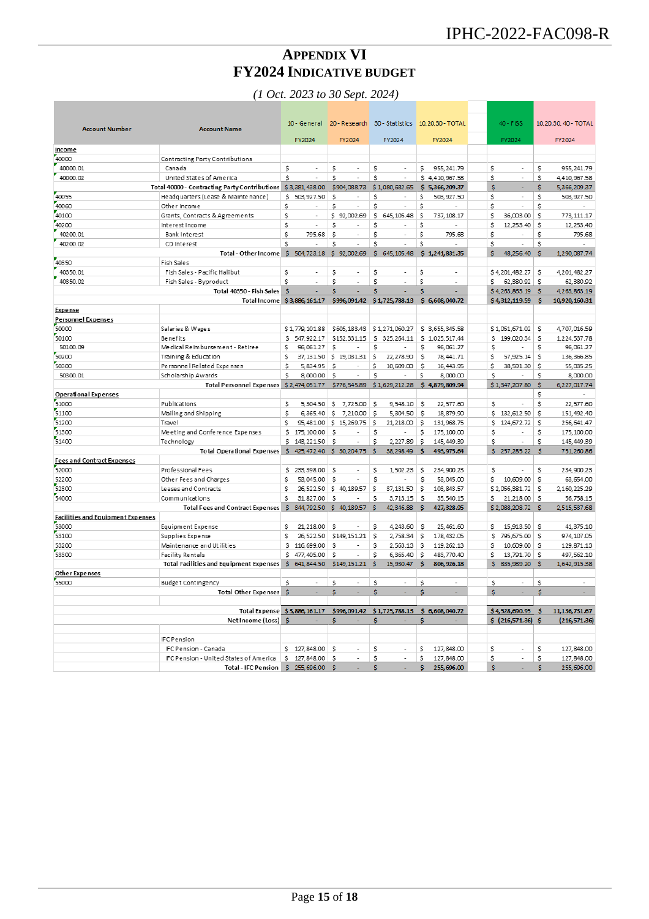## **APPENDIX VI FY2024 INDICATIVE BUDGET**

*(1 Oct. 2023 to 30 Sept. 2024)*

<span id="page-14-0"></span>

| <b>Account Number</b>                    | <b>Account Name</b>                            |     | 10 - General             |    |                          |    |                          |         | 20 - Research 30 - Statistics 10, 20, 30 - TOTAL |     | $40 - FISS$           |          | 10, 20, 30, 40 - TOTAL |
|------------------------------------------|------------------------------------------------|-----|--------------------------|----|--------------------------|----|--------------------------|---------|--------------------------------------------------|-----|-----------------------|----------|------------------------|
|                                          |                                                |     | FY2024                   |    | FY2024                   |    | FY2024                   |         | FY2024                                           |     | FY2024                |          | FY2024                 |
| Income                                   |                                                |     |                          |    |                          |    |                          |         |                                                  |     |                       |          |                        |
| 40000                                    | Contracting Party Contributions                |     |                          |    |                          |    |                          |         |                                                  |     |                       |          |                        |
| 40000.01                                 | Canada                                         | \$  |                          | Ś  |                          | \$ |                          | s       | 955, 241.79                                      | \$  | ä,                    | Ś        | 955, 241.79            |
| 40000.02                                 | United States of America                       | \$  | ł,                       | Ś  |                          | Ś  | ×,                       |         | \$4,410,967.58                                   | \$  | ä,                    | \$       | 4,410,967.58           |
|                                          | Total 40000 - Contracting Party Contributions  |     | \$3,381,438.00           |    | \$904,088.73             |    | \$1,080,682.65           |         | \$5,366,209.37                                   | \$. | ÷                     | \$       | 5,366,209.37           |
| 40055                                    | Headquarters (Lease & Maintenance)             | \$  | 503, 927.50              | \$ |                          | \$ |                          | \$      | 503, 927.50                                      | \$  |                       | \$       | 503, 927.50            |
| 40060                                    | Other Income                                   | \$  | J.                       | \$ | ÷,                       | \$ | ÷,                       | \$      | ×,                                               | \$  | ÷,                    | \$       |                        |
| 40100                                    | Grants, Contracts & Agreements                 | \$  |                          | s  | 92,002.69                | \$ | 645, 105.48              | Ś       | 737, 108.17                                      | \$  | 36,003.00             | s        | 773.111.17             |
| 40200                                    | Interest Income                                | Ś   | i,                       | Ś  |                          | \$ |                          | \$      | ٠                                                | \$  | 12.253.40             | \$.      | 12, 253.40             |
| 40200.01                                 | Bank Interest                                  | \$  | 795.68                   | \$ |                          | \$ |                          | \$      | 795.68                                           | \$  |                       | \$       | 795.68                 |
| 40200.02                                 | CD Interest                                    | \$  | ÷.                       | \$ | ÷                        | \$ | ÷                        | \$      | ÷                                                | \$  | L,                    | S        |                        |
|                                          | Total - Other Income                           |     | \$504,723.18             |    | \$92,002.69              |    | \$645,105.48             |         | \$1,241,831.35                                   | \$  | 48,256.40             | s        | 1,290,087.74           |
| 40350                                    | Fish Sales                                     |     |                          |    |                          |    |                          |         |                                                  |     |                       |          |                        |
| 40350.01                                 | Fish Sales - Pacific Halibut                   | \$  | $\overline{\phantom{a}}$ | \$ | ٠                        | \$ | $\overline{\phantom{a}}$ | \$      | $\overline{\phantom{a}}$                         |     | \$4,201,482.27        | S        | 4,201,482.27           |
| 40350.02                                 | Fish Sales - Byproduct                         | \$  | $\overline{\phantom{a}}$ | \$ | $\overline{\phantom{a}}$ | \$ | $\overline{\phantom{a}}$ | \$      | $\overline{\phantom{a}}$                         | \$  | 62,380.92             | \$       | 62,380.92              |
|                                          | Total 40350 - Fish Sales                       | \$  | ÷                        | \$ | L.                       | \$ |                          | Ś       |                                                  |     | \$4,263,863.19        | Ŝ        | 4,263,863.19           |
|                                          | Total Income                                   |     | \$3,886,161.17           |    | \$996,091.42             |    | \$1,725,788.13           |         | \$6,608,040.72                                   |     | \$4,312,119.59        | S        | 10,920,160.31          |
| Expense                                  |                                                |     |                          |    |                          |    |                          |         |                                                  |     |                       |          |                        |
| <b>Personnel Expenses</b>                |                                                |     |                          |    |                          |    |                          |         |                                                  |     |                       |          |                        |
| 50000                                    | Salaries & Wages                               |     | \$1,779,101.88           |    | \$605,183.43             |    | \$1,271,060.27           |         | \$3,655,345.58                                   |     | \$1,051,671.02        | S        | 4,707,016.59           |
| 50100                                    | Benefits                                       | \$  | 547, 922.17              |    | \$152.331.15             | Ś  | 325.264.11               |         | \$1,025,517.44                                   | \$. | 199,020.34            | \$       | 1,224,537.78           |
| 50100.09                                 | Me dical Reimbursement - Retiree               | \$  | 96.061.27                | Ś  |                          | s  |                          | \$      | 96.061.27                                        | s   |                       | s        | 96,061.27              |
| 50200                                    | Training & Education                           | Ś   | 37.131.50                | Ŝ. | 19.031.31                | s. | 22.278.90                | \$      | 78.441.71                                        | \$  | 57.925.14             | s.       | 136.366.85             |
| 50300                                    | Personne   Related Expenses                    | \$  | 5,834.95                 | Ŝ  |                          | \$ | 10,609.00                | Ŝ       | 16, 443.95                                       | \$  | 38,591.30             | s        | 55,035.25              |
| 50300.01                                 | Scholarship Awards                             | Ś   | 8,000.00                 | Ś  | ÷,                       | Ś  |                          | \$      | 8,000.00                                         | \$  |                       | \$       | 8,000.00               |
|                                          | Total Personnel Expenses \$2,474,051.77        |     |                          |    | \$776,545.89             |    | \$1,629,212.28           |         | \$4,879,809.94                                   |     | \$1,347,207.80        | <b>S</b> | 6,227,017.74           |
| <b>Operational Expenses</b>              |                                                |     |                          |    |                          |    |                          |         |                                                  |     |                       | Ś        |                        |
| 51000                                    | Publications                                   | \$  | 5,304.50                 | s  | 7,725.00                 | S  | 9,548.10                 | s       | 22,577.60                                        | s   |                       | Ś        | 22,577.60              |
| 51100                                    | Mailing and Shipping                           | \$  | 6,365.40                 | \$ | 7,210.00                 | \$ | 5,304.50                 | s       | 18,879.90                                        | \$. | 132,612.50            | \$       | 151,492.40             |
| 51200                                    | Travel                                         | Ś   | 95,481.00                | s  | 15, 269.75               | \$ | 21, 218.00               | \$      | 131,968.75                                       | \$  | 124,672.72            | s        | 256, 641.47            |
| 51300                                    | Meeting and Conference Expenses                | \$  | 175, 100.00              | Ś  |                          | \$ |                          | S       | 175, 100.00                                      | \$  |                       | \$       | 175, 100.00            |
| 51400                                    | Technology                                     | \$  | 143, 221.50              | Ś  | ÷,                       | \$ | 2,227.89                 | S       | 145, 449.39                                      | \$  | ÷,                    | Ś        | 145, 449.39            |
|                                          | <b>Total Operational Expenses</b>              | s.  | 425, 472.40              |    | \$ 30,204.75             | s. | 38, 298, 49              | s       | 493, 975.64                                      |     | \$257,285.22          | Ŝ        | 751,260.86             |
| <b>Fees and Contract Expenses</b>        |                                                |     |                          |    |                          |    |                          |         |                                                  |     |                       |          |                        |
| 52000                                    | Professional Fees                              |     | 233, 398.00              | Ś  |                          |    | 1,502.23                 |         | 234,900.23                                       |     |                       | \$       | 234,900.23             |
| 52200                                    |                                                | \$  |                          | Ś  |                          | \$ |                          | \$<br>Ś |                                                  | \$  |                       | s        |                        |
| 52300                                    | Other Fees and Charges                         | \$  | 53,045.00                |    |                          | \$ |                          |         | 53,045.00                                        | \$  | 10,609.00             |          | 63, 654.00             |
|                                          | Leases and Contracts                           | \$  | 26,522.50                | s  | 40, 189.57               | \$ | 37, 131.50               | Ŝ       | 103, 843.57                                      |     | \$2,056,381.72        | s        | 2,160,225.29           |
| 54000                                    | Communications                                 | \$  | 31,827.00                | \$ |                          | \$ | 3,713.15                 | Ŝ       | 35,540.15                                        | Ś   | 21,218.00             | S        | 56,758.15              |
|                                          | Total Fees and Contract Expenses \$            |     | 344,792.50               | s. | 40,189.57                | s  | 42,346.88                | s       | 427,328.95                                       |     | \$2,088,208.72        | <b>S</b> | 2,515,537.68           |
| <b>Facilities and Equipment Expenses</b> |                                                |     |                          |    |                          |    |                          |         |                                                  |     |                       |          |                        |
| 53000                                    | Equipment Expense                              | \$  | 21, 218.00               | \$ |                          | \$ | 4,243.60                 | \$      | 25,461.60                                        | \$  | 15,913.50             | \$.      | 41,375.10              |
| 53100                                    | Supplies Expense                               | \$  | 26,522.50                |    | \$149,151.21             | \$ | 2,758.34                 | \$      | 178, 432.05                                      | \$  | 795,675.00            | -\$      | 974, 107.05            |
| 53200                                    | Maintenance and Utilities                      | \$  | 116,699.00               | \$ |                          | \$ | 2,563.13                 | \$      | 119, 262.13                                      | s   | 10,609.00             | s        | 129,871.13             |
| 53300                                    | Facility Rentals                               | \$  | 477,405.00               | Ś  |                          | \$ | 6,365.40                 | \$      | 483,770.40                                       | Ś   | 13,791.70             | s.       | 497, 562.10            |
|                                          | <b>Total Facilities and Equipment Expenses</b> |     | \$641,844.50             |    | \$149,151.21             | Ŝ  | 15,930.47                | S       | 806, 926.18                                      | s.  | 835,989.20            | - S      | 1,642,915.38           |
| <b>Other Expenses</b>                    |                                                |     |                          |    |                          |    |                          |         |                                                  |     |                       |          |                        |
| 55000                                    | Budget Contingency                             | \$  | $\sim$                   | \$ |                          | s. | $\sim$                   | Ŝ       | $\overline{\phantom{a}}$                         | s.  | $\tilde{\phantom{a}}$ | S        | $\tilde{\phantom{a}}$  |
|                                          | <b>Total Other Expenses</b>                    | Ŝ   |                          | Ś  |                          | Ś. |                          | s       |                                                  | Ŝ.  | ä,                    | Ś        |                        |
|                                          |                                                |     |                          |    |                          |    |                          |         |                                                  |     |                       |          |                        |
|                                          | <b>Total Expense</b>                           |     | \$3,886,161.17           |    | \$996,091.42             |    | \$1,725,788.13           |         | \$6,608,040.72                                   |     | \$4,528,690.95        | \$       | 11,136,731.67          |
|                                          | Net Income (Loss)                              | -S  |                          | Ś  |                          | s  |                          | S       | ÷.                                               |     | \$(216,571.36)        | <b>s</b> | (216, 571.36)          |
|                                          |                                                |     |                          |    |                          |    |                          |         |                                                  |     |                       |          |                        |
|                                          | <b>IFC Pension</b>                             |     |                          |    |                          |    |                          |         |                                                  |     |                       |          |                        |
|                                          | IFC Pension - Canada                           |     | \$127,848.00             | Ś  |                          | \$ | ÷,                       | \$      | 127,848.00                                       | \$  |                       | \$       | 127,848.00             |
|                                          | IFC Pension - United States of America         | s   | 127,848.00               | \$ |                          | \$ | ×,                       | \$      | 127,848.00                                       | \$  | ä,                    | \$       | 127,848.00             |
|                                          | Total - IFC Pension                            | \$. | 255,696.00               | Ŝ  |                          | \$ |                          | \$      | 255,696.00                                       | s.  |                       | \$       | 255,696.00             |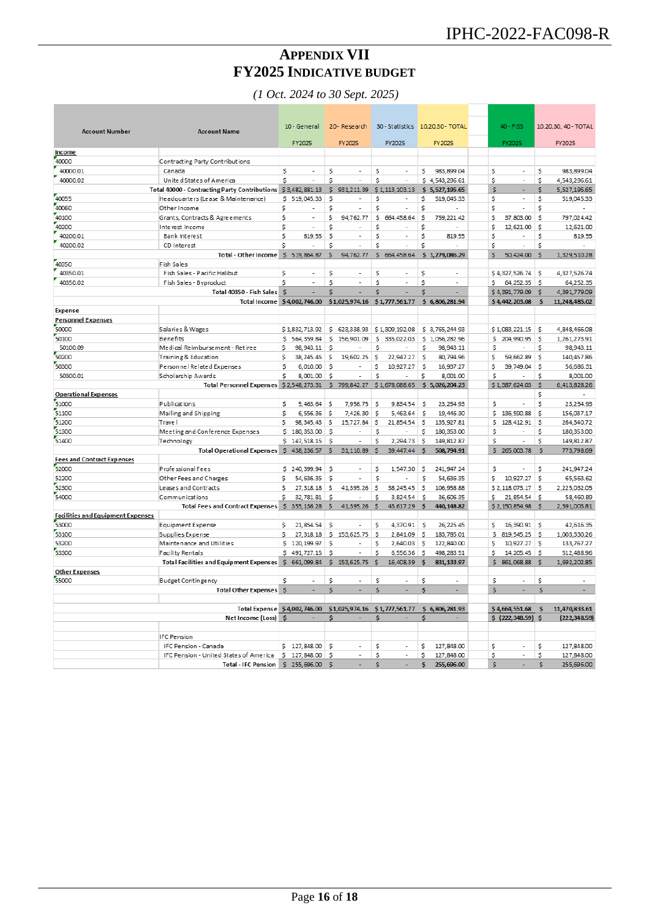## **APPENDIX VII FY2025 INDICATIVE BUDGET**

*(1 Oct. 2024 to 30 Sept. 2025)*

<span id="page-15-0"></span>

| <b>Account Number</b>                    | <b>Account Name</b>                            |              | 10 - General             |          | 20 - Research                 |    |                          |    | 30 - Statistics 10,20,30 - TOTAL |              | 40 - FISS                |              | 10,20,30, 40 - TOTAL     |
|------------------------------------------|------------------------------------------------|--------------|--------------------------|----------|-------------------------------|----|--------------------------|----|----------------------------------|--------------|--------------------------|--------------|--------------------------|
|                                          |                                                |              | FY2025                   |          | FY 2025                       |    | FY2025                   |    | FY 2025                          |              | FY2025                   |              | <b>FY2025</b>            |
| Income                                   |                                                |              |                          |          |                               |    |                          |    |                                  |              |                          |              |                          |
| 40000                                    | Contracting Party Contributions                |              |                          |          |                               |    |                          |    |                                  |              |                          |              |                          |
| 40000.01                                 | Canada                                         | s            | $\overline{a}$           | s        | $\sim$                        | s  |                          | s  | 983, 899.04                      | s            | $\overline{a}$           | \$           | 983,899.04               |
| 40000.02                                 | Unite d States of America                      | Ś            |                          | Ś        | ٠                             | Ś  | ÷                        |    | \$4,543,296.61                   | \$           | ٠                        | \$           | 4,543,296.61             |
|                                          | Total 40000 - Contracting Party Contributions  |              | \$3,482,881.13           | s.       | 931,211.39                    |    | \$1,113,103.13           |    | \$5,527,195.65                   | Ś            | L.                       | Ś            | 5,527,195.65             |
| 40055                                    | Headquarters (Lease & Maintenance)             |              | \$ 519,045.33            | Ś        | $\overline{\phantom{a}}$      | S  | $\overline{\phantom{a}}$ | \$ | 519.045.33                       | \$           | $\overline{\phantom{a}}$ | \$           | 519,045.33               |
| 40060                                    | Other Income                                   | \$           |                          | \$       | $\overline{a}$                | \$ | ÷,                       | \$ | $\overline{a}$                   | \$           | ÷,                       | \$           | $\sim$                   |
| 40100                                    | Grants, Contracts & Agreements                 | \$           | $\overline{\phantom{a}}$ | \$       | 94,762.77                     | \$ | 664,458.64               | \$ | 759, 221.42                      | \$           | 37,803.00                | \$           | 797,024.42               |
| 40200                                    | Inte rest Income                               | \$           |                          | \$       |                               | \$ |                          | \$ |                                  | \$           | 12,621.00                | \$           | 12,621.00                |
| 40200.01                                 | Bank Interest                                  | \$           | 819.55                   | \$       | ٠                             | Ś  |                          | \$ | 819.55                           | \$           |                          | \$           | 819.55                   |
| 40200.02                                 | CD Interest                                    | Ś            |                          | Ś        | $\overline{\phantom{a}}$      | Ś  | ÷,                       | Ś  | $\overline{a}$                   | Ŝ            | $\overline{\phantom{a}}$ | Ś            |                          |
|                                          | Total - Other Income                           |              | \$519,864.87             | \$       | 94,762.77                     |    | \$ 664,458.64            |    | \$1,279,086.29                   | \$           | 50,424.00                | Š            | 1,329,510.28             |
| 40350                                    | Fish Sales                                     |              |                          |          |                               |    |                          |    |                                  |              |                          |              |                          |
| 40350.01                                 | Fish Sales - Pacific Halibut                   | \$           |                          | Ś        |                               | Ś  |                          | Ś  |                                  |              | \$4.327.526.74           | s            | 4.327.526.74             |
| 40350.02                                 |                                                |              |                          |          |                               | Ś  | $\tilde{\phantom{a}}$    |    |                                  |              |                          |              |                          |
|                                          | Fish Sales - Byproduct                         | Ś            |                          | Ŝ        |                               |    |                          | \$ |                                  | s            | 64.252.35                | l S          | 64.252.35                |
|                                          | Total 40350 - Fish Sales                       | s.           |                          | Ś        |                               | Ś  |                          | Ś  |                                  |              | \$4,391,779.09           | Ŝ            | 4.391.779.09             |
|                                          | Total Income \$4,002,746.00                    |              |                          |          | \$1,025,974.16 \$1,777,561.77 |    |                          |    | \$6,806,281.94                   |              | \$4,442,203.08           | s            | 11,248,485.02            |
| <b>Expense</b>                           |                                                |              |                          |          |                               |    |                          |    |                                  |              |                          |              |                          |
| <b>Personnel Expenses</b>                |                                                |              |                          |          |                               |    |                          |    |                                  |              |                          |              |                          |
| 50000                                    | Salaries & Wages                               |              | \$1,832,713.92           |          | \$623,338.93                  |    | \$1,309,192.08           |    | \$ 3,765,244.93                  |              | \$1,083,221.15           | \$           | 4,848,466.08             |
| 50100                                    | Benefits                                       | s            | 564, 359.84              | \$       | 156,901.09                    | \$ | 335,022.03               |    | \$1,056,282.96                   | \$           | 204,990.95               | \$           | 1,261,273.91             |
| 50100.09                                 | Medical Reimbursement - Retiree                | \$           | 98, 943. 11              | \$       |                               | S  |                          | \$ | 98, 943.11                       | \$           |                          | \$           | 98,943.11                |
| 50200                                    | Training & Education                           | Ś            | 38, 245.45               | \$       | 19,602.25                     | \$ | 22,947.27                | \$ | 80,794.96                        | \$           | 59,662.89                | \$           | 140,457.86               |
| 50300                                    | Personnel Related Expenses                     | \$           | 6,010.00                 | Ŝ        |                               | \$ | 10,927.27                | Ŝ  | 16,937.27                        | \$           | 39,749.04                | \$           | 56,686.31                |
| 50300.01                                 | Scholarship Awards                             | \$           | 8,001.00                 | \$       | ÷                             | Ś  |                          | \$ | 8,001.00                         | \$           |                          | \$           | 8,001.00                 |
|                                          | Total Personnel Expenses \$2,548,273.31        |              |                          | \$.      | 799,842.27                    |    | \$1,678,088.65           |    | \$5,026,204.23                   |              | \$1,387,624.03           | \$           | 6,413,828.26             |
| <b>Operational Expenses</b>              |                                                |              |                          |          |                               |    |                          |    |                                  |              |                          | \$           | $\overline{\phantom{a}}$ |
| 51000                                    | Publications                                   | \$           | 5,463.64                 | \$       | 7,956.75                      | \$ | 9,834.54                 | s  | 23.254.93                        | \$           | ٠                        | \$           | 23,254.93                |
| 51100                                    | Mailing and Shipping                           | \$           | 6,556.36                 | \$       | 7,426.30                      | \$ | 5,463.64                 | Ś  | 19,446.30                        | \$           | 136, 590.88              | \$           | 156,037.17               |
| 51200                                    | Trave I                                        | \$           | 98, 345.43               | \$       | 15,727.84                     | \$ | 21,854.54                | \$ | 135, 927.81                      | \$           | 128, 412.91              | \$           | 264,340.72               |
| 51300                                    | Meeting and Conference Expenses                | s            | 180, 353.00              | S        |                               | S  |                          | \$ | 180.353.00                       | \$           |                          | \$           | 180,353.00               |
| 51400                                    | Technology                                     |              | \$147,518.15             | \$       | $\overline{a}$                | Ś  | 2.294.73                 | \$ | 149, 812.87                      | S            | ÷,                       | Ś            | 149,812.87               |
|                                          | <b>Total Operational Expenses</b>              |              | \$438,236.57             | \$       | 31,110.89                     | Ś  | 39,447.44                | \$ | 508,794.91                       |              | \$265,003.78             | \$.          | 773,798.69               |
| <b>Fees and Contract Expenses</b>        |                                                |              |                          |          |                               |    |                          |    |                                  |              |                          |              |                          |
| 52000                                    | Profe ssional Fees                             |              | S 240, 399, 94           | S        | ٠                             | \$ | 1.547.30                 | s  | 241.947.24                       | \$           |                          | \$           | 241.947.24               |
| 52200                                    | Other Fees and Charges                         | \$           | 54, 636.35               | S        | ٠                             | \$ |                          | \$ | 54,636.35                        | \$           | 10,927.27                | \$           | 65,563.62                |
| 52300                                    | Leases and Contracts                           |              |                          |          | 41.395.26                     |    |                          |    |                                  |              |                          |              |                          |
|                                          |                                                | \$           | 27, 318.18               | \$       |                               | \$ | 38,245.45                | \$ | 106,958.88                       |              | \$2,118,073.17           | \$           | 2,225,032.05             |
| 54000                                    | Communications                                 | s            | 32,781.81                | Ŝ        |                               | Ś  | 3,824.54                 | Ŝ  | 36,606.35                        | Š.           | 21,854.54                | S.           | 58,460.89                |
|                                          | Total Fees and Contract Expenses \$ 355,136.28 |              |                          | s        | 41.395.26                     | s  | 43.617.29                | s  | 440, 148.82                      |              | \$2,150,854.98           | Ś            | 2.591.003.81             |
| <b>Facilities and Equipment Expenses</b> |                                                |              |                          |          |                               |    |                          |    |                                  |              |                          |              |                          |
| 53000                                    | Equipment Expense                              | \$           | 21.854.54                | Ś        |                               | \$ | 4.370.91                 | S  | 26, 225.45                       | s            | 16.390.91                | Ś            | 42.616.35                |
| 53100                                    | Supplies Expense                               | \$           | 27.318.18                | s        | 153.625.75                    | \$ | 2.841.09                 | \$ | 183.785.01                       | \$           | 819.545.25               | \$           | 1.003.330.26             |
| 53200                                    | Maintenance and Utilities                      | s            | 120, 199. 97             | S        |                               | \$ | 2,640.03                 | \$ | 122,840.00                       | \$           | 10,927.27                | \$           | 133,767.27               |
| 53300                                    | <b>Facility Rentals</b>                        |              | \$491,727.15             | S        | $\overline{\phantom{a}}$      | Ś  | 6,556.36                 | Ś  | 498, 283.51                      | \$           | 14, 205.45               | <sub>S</sub> | 512,488.96               |
|                                          | Total Facilities and Equipment Expenses        |              | \$ 661,099.84            | s.       | 153,625.75                    | Ś  | 16,408.39                | s  | 831, 133, 97                     |              | \$ 861,068.88            | Ś            | 1,692,202.85             |
| <b>Other Expenses</b>                    |                                                |              |                          |          |                               |    |                          |    |                                  |              |                          |              |                          |
| 55000                                    | Budget Contingency                             | \$           |                          | \$       | ÷                             | S  | ÷                        | \$ | ÷                                | S            | ÷                        | \$           | $\sim$                   |
|                                          | <b>Total Other Expenses</b>                    | $\mathsf{s}$ |                          | \$       |                               | S  |                          | \$ |                                  | \$           |                          | s            |                          |
|                                          |                                                |              |                          |          |                               |    |                          |    |                                  |              |                          |              |                          |
|                                          | <b>Total Expense</b>                           |              | \$4,002,746.00           |          | \$1,025,974.16                |    | \$1,777,561.77           |    | \$6,806,281.93                   |              | \$4,664,551.68           | \$           | 11,470,833.61            |
|                                          | Net Income (Loss)                              | S            |                          | \$       |                               | \$ |                          | \$ |                                  |              | \$ (222, 348.59)         | S            | (222, 348.59)            |
|                                          |                                                |              |                          |          |                               |    |                          |    |                                  |              |                          |              |                          |
|                                          | <b>IFC Pension</b>                             |              |                          |          |                               |    |                          |    |                                  |              |                          |              |                          |
|                                          | IFC Pension - Canada                           |              | \$127,848.00             | \$       | ٠                             | \$ | $\tilde{\phantom{a}}$    | Ś  | 127,848.00                       | \$           | ٠                        | Ś            | 127.848.00               |
|                                          | IFC Pension - United States of America         |              | \$127,848.00             | s        | ٠                             | S  | ÷,                       | Ś  | 127,848.00                       | Ś            | t,                       | Ś            | 127,848.00               |
|                                          | <b>Total - IFC Pension</b>                     |              | \$255,696.00             | <b>s</b> |                               | s  |                          | \$ | 255,696.00                       | $\mathsf{s}$ |                          | \$           | 255,696.00               |
|                                          |                                                |              |                          |          |                               |    |                          |    |                                  |              |                          |              |                          |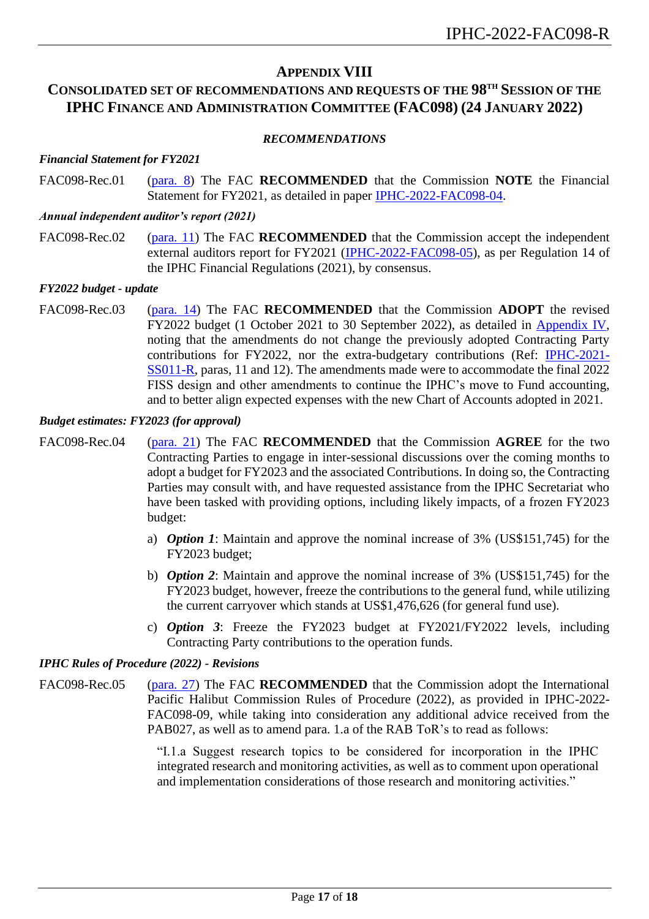## **APPENDIX VIII**

## <span id="page-16-0"></span>**CONSOLIDATED SET OF RECOMMENDATIONS AND REQUESTS OF THE 98 TH SESSION OF THE IPHC FINANCE AND ADMINISTRATION COMMITTEE (FAC098) (24 JANUARY 2022)**

#### *RECOMMENDATIONS*

#### *Financial Statement for FY2021*

FAC098-Rec.01 [\(para.](#page-5-5) 8) The FAC **RECOMMENDED** that the Commission **NOTE** the Financial Statement for FY2021, as detailed in paper [IPHC-2022-FAC098-04.](https://www.iphc.int/uploads/pdf/fac/fac098/iphc-2022-fac098-04.pdf)

#### *Annual independent auditor's report (2021)*

FAC098-Rec.02 [\(para.](#page-5-6) 11) The FAC **RECOMMENDED** that the Commission accept the independent external auditors report for FY2021 [\(IPHC-2022-FAC098-05\)](https://www.iphc.int/uploads/pdf/fac/fac098/iphc-2022-fac098-05.pdf), as per Regulation 14 of the IPHC Financial Regulations (2021), by consensus.

#### *FY2022 budget - update*

FAC098-Rec.03 [\(para.](#page-6-2) 14) The FAC **RECOMMENDED** that the Commission **ADOPT** the revised FY2022 budget (1 October 2021 to 30 September 2022), as detailed in [Appendix IV,](#page-12-0) noting that the amendments do not change the previously adopted Contracting Party contributions for FY2022, nor the extra-budgetary contributions (Ref: [IPHC-2021-](https://www.iphc.int/venues/details/11th-special-session-of-the-iphc-ss011) [SS011-R,](https://www.iphc.int/venues/details/11th-special-session-of-the-iphc-ss011) paras, 11 and 12). The amendments made were to accommodate the final 2022 FISS design and other amendments to continue the IPHC's move to Fund accounting, and to better align expected expenses with the new Chart of Accounts adopted in 2021.

#### *Budget estimates: FY2023 (for approval)*

- FAC098-Rec.04 [\(para.](#page-7-3) 21) The FAC **RECOMMENDED** that the Commission **AGREE** for the two Contracting Parties to engage in inter-sessional discussions over the coming months to adopt a budget for FY2023 and the associated Contributions. In doing so, the Contracting Parties may consult with, and have requested assistance from the IPHC Secretariat who have been tasked with providing options, including likely impacts, of a frozen FY2023 budget:
	- a) *Option 1*: Maintain and approve the nominal increase of 3% (US\$151,745) for the FY2023 budget;
	- b) *Option 2*: Maintain and approve the nominal increase of 3% (US\$151,745) for the FY2023 budget, however, freeze the contributions to the general fund, while utilizing the current carryover which stands at US\$1,476,626 (for general fund use).
	- c) *Option 3*: Freeze the FY2023 budget at FY2021/FY2022 levels, including Contracting Party contributions to the operation funds.

#### *IPHC Rules of Procedure (2022) - Revisions*

FAC098-Rec.05 [\(para.](#page-7-4) 27) The FAC **RECOMMENDED** that the Commission adopt the International Pacific Halibut Commission Rules of Procedure (2022), as provided in IPHC-2022- FAC098-09, while taking into consideration any additional advice received from the PAB027, as well as to amend para. 1.a of the RAB ToR's to read as follows:

> "I.1.a Suggest research topics to be considered for incorporation in the IPHC integrated research and monitoring activities, as well as to comment upon operational and implementation considerations of those research and monitoring activities."